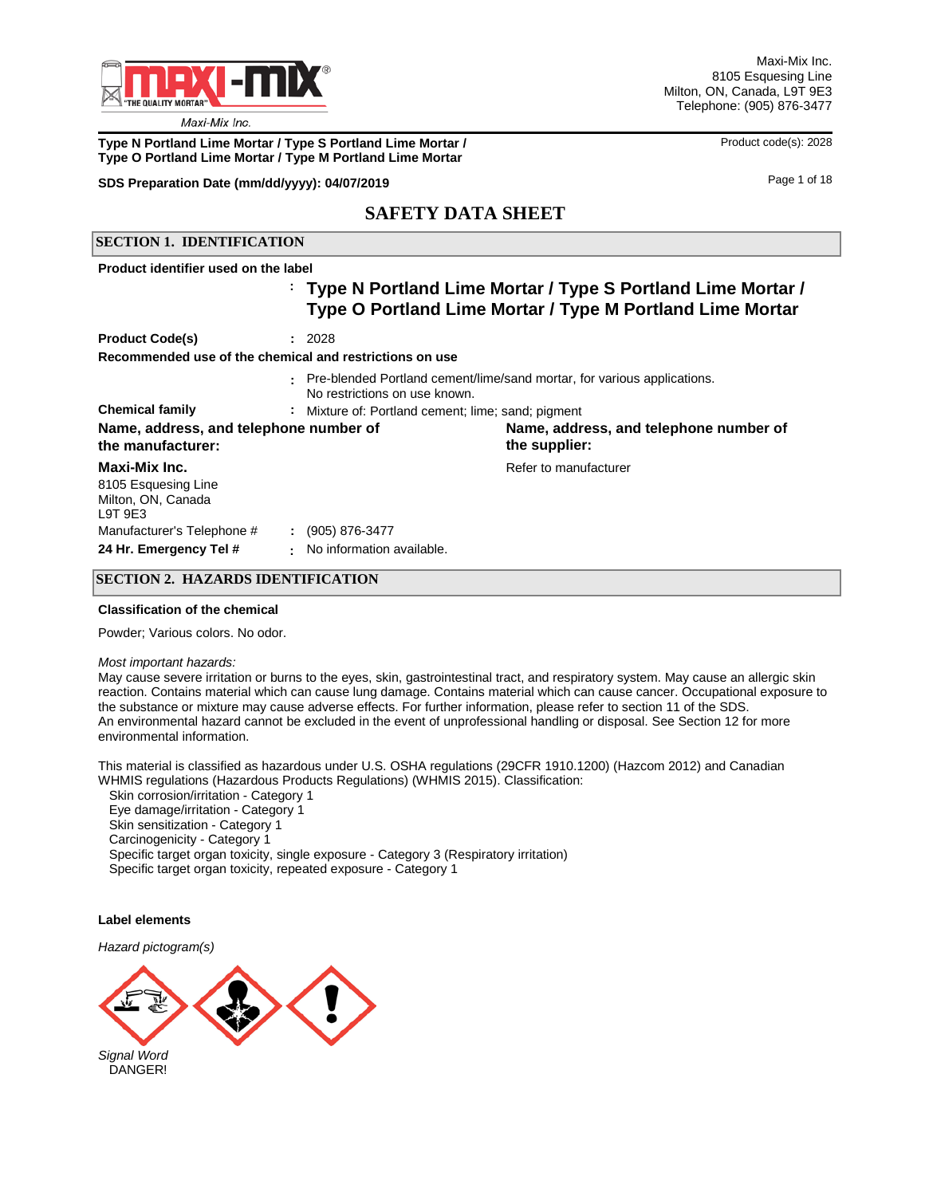

### **Type N Portland Lime Mortar / Type S Portland Lime Mortar /**  Product code(s): 2028 **Type O Portland Lime Mortar / Type M Portland Lime Mortar**

### **SDS Preparation Date (mm/dd/yyyy): 04/07/2019 04/07/2019 10.04/07/2019 Page 1 of 18**

## **SAFETY DATA SHEET**

## **SECTION 1. IDENTIFICATION**

**Product identifier used on the label** 

## **Type N Portland Lime Mortar / Type S Portland Lime Mortar / : Type O Portland Lime Mortar / Type M Portland Lime Mortar**

| <b>Product Code(s)</b>                                                | : 2028                                                         |                                                                         |
|-----------------------------------------------------------------------|----------------------------------------------------------------|-------------------------------------------------------------------------|
| Recommended use of the chemical and restrictions on use               |                                                                |                                                                         |
|                                                                       | No restrictions on use known.                                  | Pre-blended Portland cement/lime/sand mortar, for various applications. |
| <b>Chemical family</b>                                                | : Mixture of: Portland cement; lime; sand; pigment             |                                                                         |
| Name, address, and telephone number of<br>the manufacturer:           |                                                                | Name, address, and telephone number of<br>the supplier:                 |
| Maxi-Mix Inc.<br>8105 Esquesing Line<br>Milton, ON, Canada<br>L9T 9E3 |                                                                | Refer to manufacturer                                                   |
| Manufacturer's Telephone #<br>24 Hr. Emergency Tel #                  | (905) 876-3477<br>$\mathcal{L}$<br>: No information available. |                                                                         |

### **SECTION 2. HAZARDS IDENTIFICATION**

#### **Classification of the chemical**

Powder; Various colors. No odor.

#### *Most important hazards:*

May cause severe irritation or burns to the eyes, skin, gastrointestinal tract, and respiratory system. May cause an allergic skin reaction. Contains material which can cause lung damage. Contains material which can cause cancer. Occupational exposure to the substance or mixture may cause adverse effects. For further information, please refer to section 11 of the SDS. An environmental hazard cannot be excluded in the event of unprofessional handling or disposal. See Section 12 for more environmental information.

This material is classified as hazardous under U.S. OSHA regulations (29CFR 1910.1200) (Hazcom 2012) and Canadian WHMIS regulations (Hazardous Products Regulations) (WHMIS 2015). Classification:

Skin corrosion/irritation - Category 1

Eye damage/irritation - Category 1

Skin sensitization - Category 1

Carcinogenicity - Category 1

 Specific target organ toxicity, single exposure - Category 3 (Respiratory irritation) Specific target organ toxicity, repeated exposure - Category 1

### **Label elements**

*Hazard pictogram(s)*

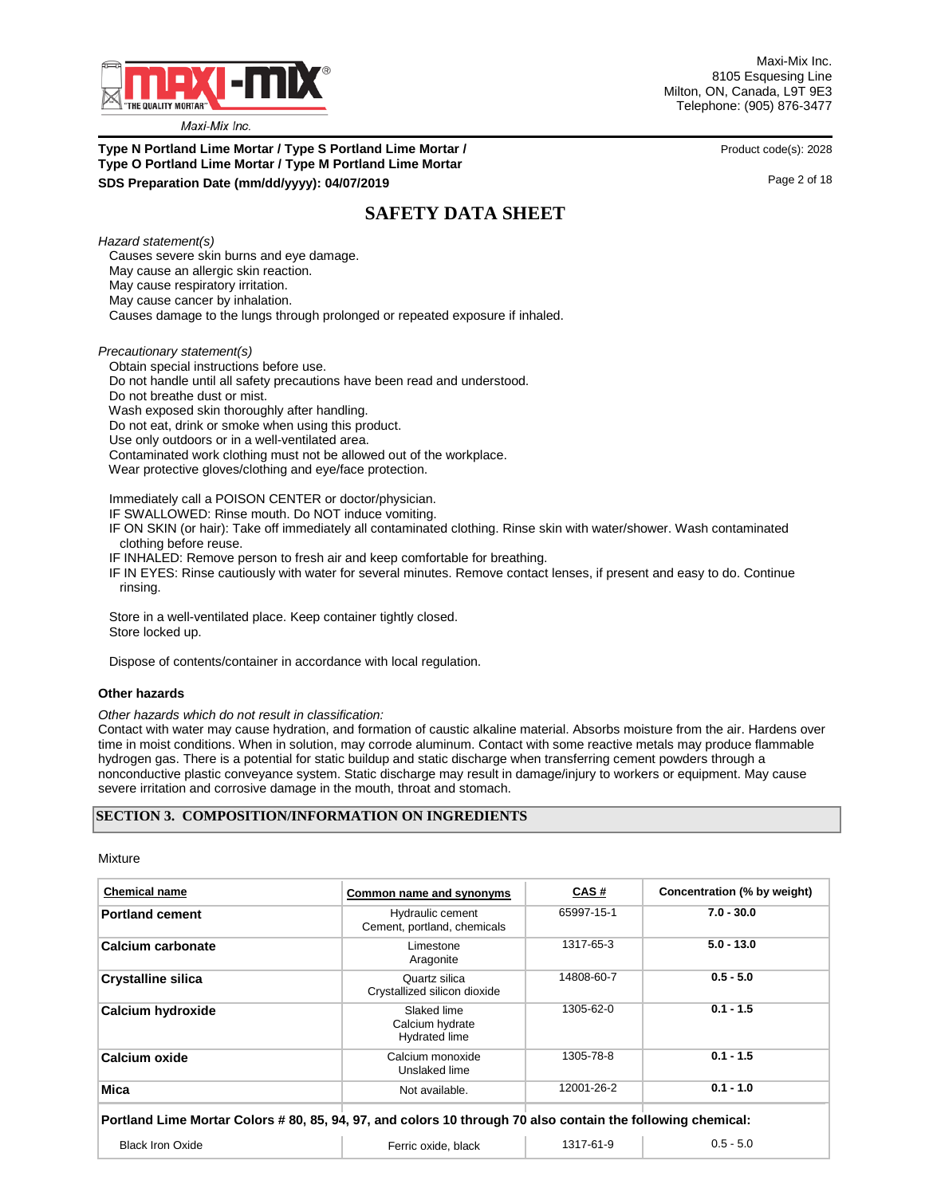

**Type N Portland Lime Mortar / Type S Portland Lime Mortar / Product code(s): 2028 Type O Portland Lime Mortar / Type M Portland Lime Mortar SDS Preparation Date (mm/dd/yyyy): 04/07/2019 04/07/2019 10.000 10.000 10.000 10.000 10.000 10.000 10.000 10.000 10.000 10.000 10.000 10.000 10.000 10.000 10.000 10.000 10.000 10.000 10.000 10.000 10.000 10.000 10.000** 

## **SAFETY DATA SHEET**

*Hazard statement(s)*

 Causes severe skin burns and eye damage. May cause an allergic skin reaction. May cause respiratory irritation. May cause cancer by inhalation. Causes damage to the lungs through prolonged or repeated exposure if inhaled.

*Precautionary statement(s)*

 Obtain special instructions before use. Do not handle until all safety precautions have been read and understood. Do not breathe dust or mist. Wash exposed skin thoroughly after handling. Do not eat, drink or smoke when using this product. Use only outdoors or in a well-ventilated area. Contaminated work clothing must not be allowed out of the workplace. Wear protective gloves/clothing and eye/face protection.

Immediately call a POISON CENTER or doctor/physician.

IF SWALLOWED: Rinse mouth. Do NOT induce vomiting.

- IF ON SKIN (or hair): Take off immediately all contaminated clothing. Rinse skin with water/shower. Wash contaminated clothing before reuse.
- IF INHALED: Remove person to fresh air and keep comfortable for breathing.
- IF IN EYES: Rinse cautiously with water for several minutes. Remove contact lenses, if present and easy to do. Continue rinsing.

 Store in a well-ventilated place. Keep container tightly closed. Store locked up.

Dispose of contents/container in accordance with local regulation.

#### **Other hazards**

*Other hazards which do not result in classification:* 

Contact with water may cause hydration, and formation of caustic alkaline material. Absorbs moisture from the air. Hardens over time in moist conditions. When in solution, may corrode aluminum. Contact with some reactive metals may produce flammable hydrogen gas. There is a potential for static buildup and static discharge when transferring cement powders through a nonconductive plastic conveyance system. Static discharge may result in damage/injury to workers or equipment. May cause severe irritation and corrosive damage in the mouth, throat and stomach.

#### **SECTION 3. COMPOSITION/INFORMATION ON INGREDIENTS**

Mixture

| <b>Chemical name</b>                                                                                       | Common name and synonyms                        | CAS#       | Concentration (% by weight) |
|------------------------------------------------------------------------------------------------------------|-------------------------------------------------|------------|-----------------------------|
| <b>Portland cement</b>                                                                                     | Hydraulic cement<br>Cement, portland, chemicals | 65997-15-1 | $7.0 - 30.0$                |
| Calcium carbonate                                                                                          | Limestone<br>Aragonite                          | 1317-65-3  | $5.0 - 13.0$                |
| <b>Crystalline silica</b>                                                                                  | Quartz silica<br>Crystallized silicon dioxide   | 14808-60-7 | $0.5 - 5.0$                 |
| Calcium hydroxide                                                                                          | Slaked lime<br>Calcium hydrate<br>Hydrated lime | 1305-62-0  | $0.1 - 1.5$                 |
| <b>Calcium oxide</b>                                                                                       | Calcium monoxide<br>Unslaked lime               | 1305-78-8  | $0.1 - 1.5$                 |
| <b>Mica</b>                                                                                                | Not available.                                  | 12001-26-2 | $0.1 - 1.0$                 |
| Portland Lime Mortar Colors #80, 85, 94, 97, and colors 10 through 70 also contain the following chemical: |                                                 |            |                             |
| <b>Black Iron Oxide</b>                                                                                    | Ferric oxide, black                             | 1317-61-9  | $0.5 - 5.0$                 |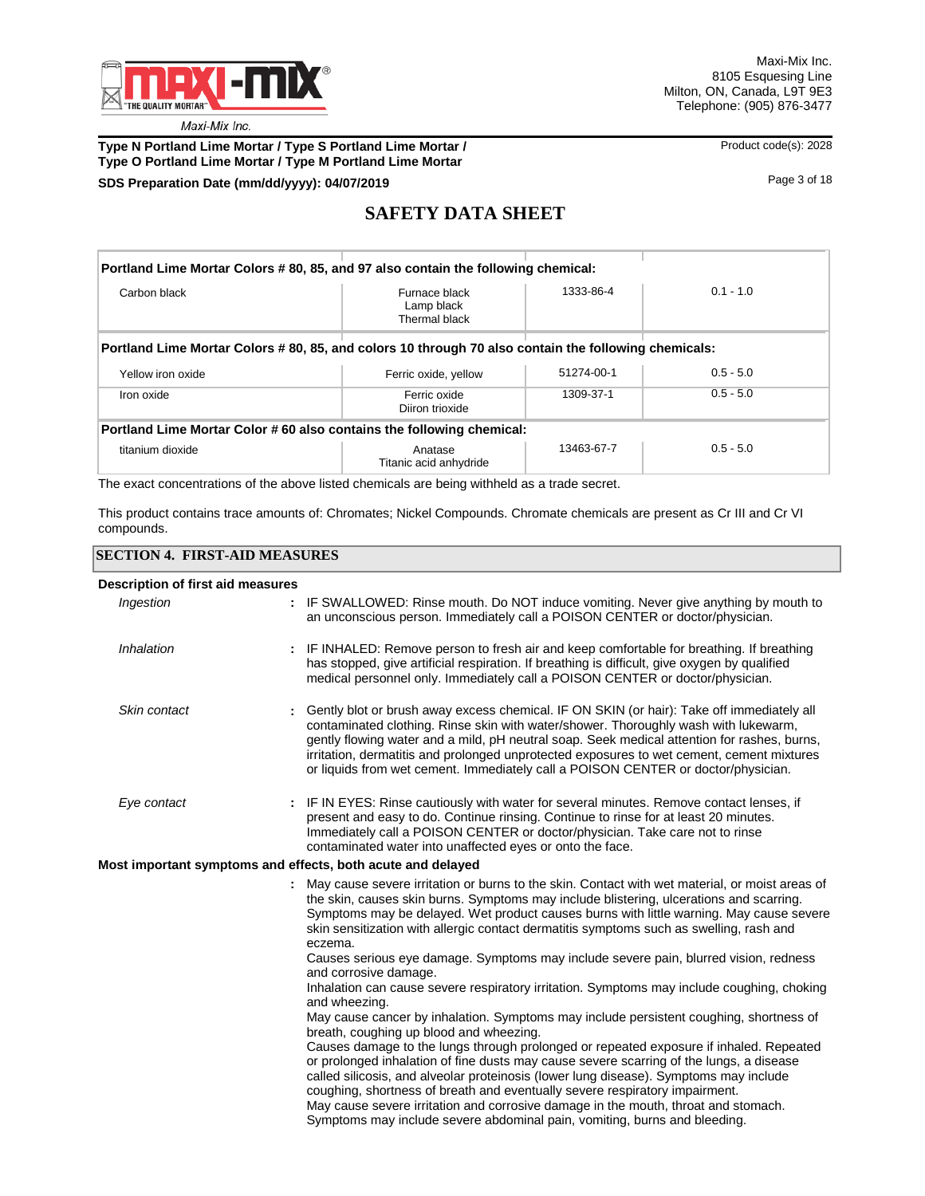

## **Type N Portland Lime Mortar / Type S Portland Lime Mortar / We are a mortar and Archive Code(s): 2028 Type O Portland Lime Mortar / Type M Portland Lime Mortar**

## **SDS Preparation Date (mm/dd/yyyy): 04/07/2019 04/07/2019 18 04/07/2019 18**

# **SAFETY DATA SHEET**

| Portland Lime Mortar Colors # 80, 85, and 97 also contain the following chemical:                   |                                              |            |             |  |  |  |
|-----------------------------------------------------------------------------------------------------|----------------------------------------------|------------|-------------|--|--|--|
| Carbon black                                                                                        | Furnace black<br>Lamp black<br>Thermal black | 1333-86-4  | $0.1 - 1.0$ |  |  |  |
| Portland Lime Mortar Colors #80, 85, and colors 10 through 70 also contain the following chemicals: |                                              |            |             |  |  |  |
| Yellow iron oxide                                                                                   | Ferric oxide, yellow                         | 51274-00-1 | $0.5 - 5.0$ |  |  |  |
| Iron oxide                                                                                          | Ferric oxide<br>Diiron trioxide              | 1309-37-1  | $0.5 - 5.0$ |  |  |  |
| Portland Lime Mortar Color #60 also contains the following chemical:                                |                                              |            |             |  |  |  |
| titanium dioxide                                                                                    | Anatase<br>Titanic acid anhydride            | 13463-67-7 | $0.5 - 5.0$ |  |  |  |

The exact concentrations of the above listed chemicals are being withheld as a trade secret.

This product contains trace amounts of: Chromates; Nickel Compounds. Chromate chemicals are present as Cr III and Cr VI compounds.

### **SECTION 4. FIRST-AID MEASURES**

### **Description of first aid measures**

| Ingestion    | : IF SWALLOWED: Rinse mouth. Do NOT induce vomiting. Never give anything by mouth to<br>an unconscious person. Immediately call a POISON CENTER or doctor/physician.                                                                                                                                                                                                                                                                                                                                                         |
|--------------|------------------------------------------------------------------------------------------------------------------------------------------------------------------------------------------------------------------------------------------------------------------------------------------------------------------------------------------------------------------------------------------------------------------------------------------------------------------------------------------------------------------------------|
| Inhalation   | IF INHALED: Remove person to fresh air and keep comfortable for breathing. If breathing<br>has stopped, give artificial respiration. If breathing is difficult, give oxygen by qualified<br>medical personnel only. Immediately call a POISON CENTER or doctor/physician.                                                                                                                                                                                                                                                    |
| Skin contact | Gently blot or brush away excess chemical. IF ON SKIN (or hair): Take off immediately all<br>contaminated clothing. Rinse skin with water/shower. Thoroughly wash with lukewarm,<br>gently flowing water and a mild, pH neutral soap. Seek medical attention for rashes, burns,<br>irritation, dermatitis and prolonged unprotected exposures to wet cement, cement mixtures<br>or liquids from wet cement. Immediately call a POISON CENTER or doctor/physician.                                                            |
| Eye contact  | : IF IN EYES: Rinse cautiously with water for several minutes. Remove contact lenses, if<br>present and easy to do. Continue rinsing. Continue to rinse for at least 20 minutes.<br>Immediately call a POISON CENTER or doctor/physician. Take care not to rinse<br>contaminated water into unaffected eyes or onto the face.                                                                                                                                                                                                |
|              | Most important symptoms and effects, both acute and delayed                                                                                                                                                                                                                                                                                                                                                                                                                                                                  |
|              | May cause severe irritation or burns to the skin. Contact with wet material, or moist areas of<br>the skin, causes skin burns. Symptoms may include blistering, ulcerations and scarring.<br>Symptoms may be delayed. Wet product causes burns with little warning. May cause severe<br>skin sensitization with allergic contact dermatitis symptoms such as swelling, rash and<br>eczema.                                                                                                                                   |
|              | Causes serious eye damage. Symptoms may include severe pain, blurred vision, redness<br>and corrosive damage.                                                                                                                                                                                                                                                                                                                                                                                                                |
|              | Inhalation can cause severe respiratory irritation. Symptoms may include coughing, choking<br>and wheezing.                                                                                                                                                                                                                                                                                                                                                                                                                  |
|              | May cause cancer by inhalation. Symptoms may include persistent coughing, shortness of<br>breath, coughing up blood and wheezing.                                                                                                                                                                                                                                                                                                                                                                                            |
|              | Causes damage to the lungs through prolonged or repeated exposure if inhaled. Repeated<br>or prolonged inhalation of fine dusts may cause severe scarring of the lungs, a disease<br>called silicosis, and alveolar proteinosis (lower lung disease). Symptoms may include<br>coughing, shortness of breath and eventually severe respiratory impairment.<br>May cause severe irritation and corrosive damage in the mouth, throat and stomach.<br>Symptoms may include severe abdominal pain, vomiting, burns and bleeding. |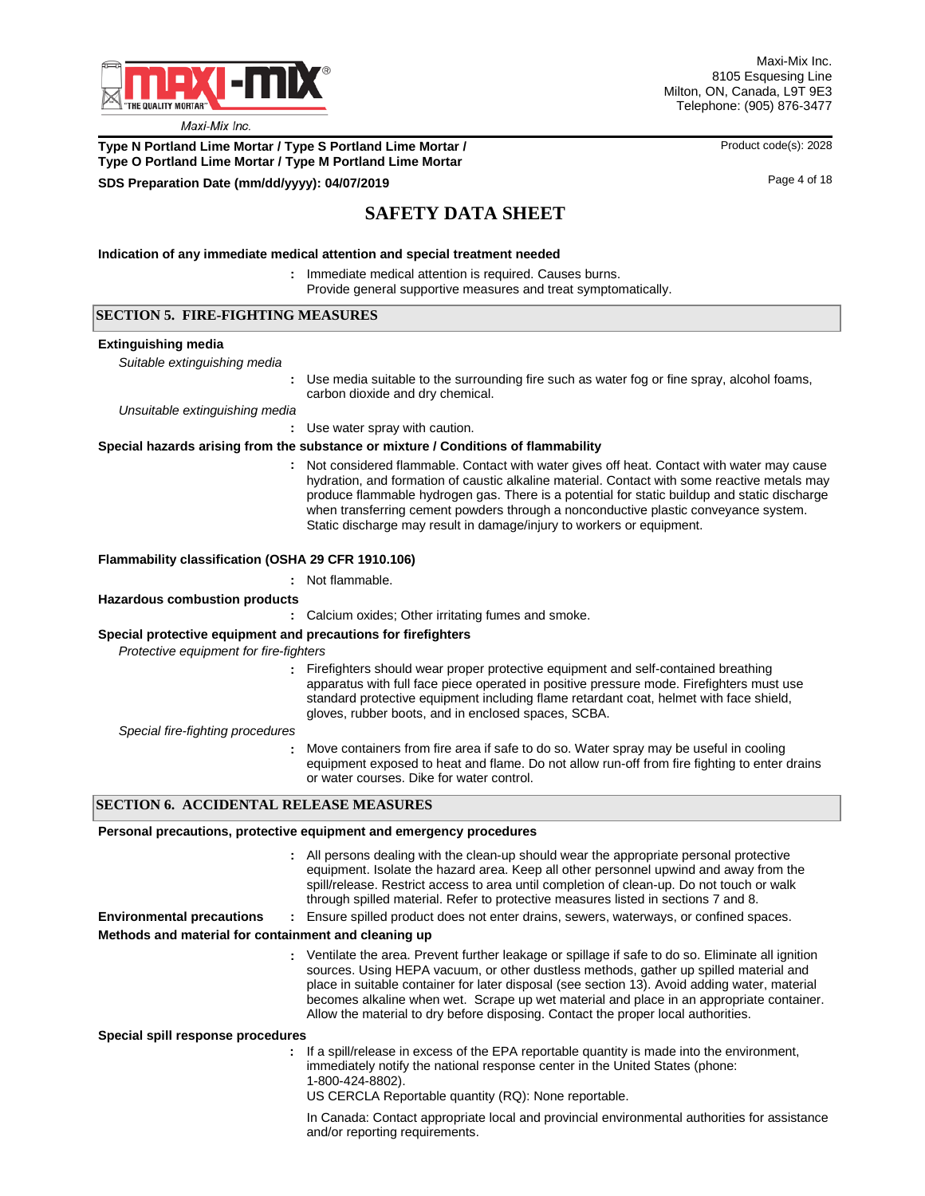

Maxi-Mix Inc. 8105 Esquesing Line Milton, ON, Canada, L9T 9E3 Telephone: (905) 876-3477

**Type N Portland Lime Mortar / Type S Portland Lime Mortar / Product code(s): 2028 Type O Portland Lime Mortar / Type M Portland Lime Mortar**

### **SDS Preparation Date (mm/dd/yyyy): 04/07/2019 04/07/2019 10.04/07/2019 Page 4 of 18**

# **SAFETY DATA SHEET**

#### **Indication of any immediate medical attention and special treatment needed**

- : Immediate medical attention is required. Causes burns.
	- Provide general supportive measures and treat symptomatically.

## **SECTION 5. FIRE-FIGHTING MEASURES**

#### **Extinguishing media**

*Suitable extinguishing media*

**:** Use media suitable to the surrounding fire such as water fog or fine spray, alcohol foams, carbon dioxide and dry chemical.

*Unsuitable extinguishing media*

Use water spray with caution.

#### **Special hazards arising from the substance or mixture / Conditions of flammability**

Not considered flammable. Contact with water gives off heat. Contact with water may cause **:** hydration, and formation of caustic alkaline material. Contact with some reactive metals may produce flammable hydrogen gas. There is a potential for static buildup and static discharge when transferring cement powders through a nonconductive plastic conveyance system. Static discharge may result in damage/injury to workers or equipment.

#### **Flammability classification (OSHA 29 CFR 1910.106)**

### **:** Not flammable.

#### **Hazardous combustion products**

**:** Calcium oxides; Other irritating fumes and smoke.

#### **Special protective equipment and precautions for firefighters**

**:**

*Protective equipment for fire-fighters*

**:** Firefighters should wear proper protective equipment and self-contained breathing apparatus with full face piece operated in positive pressure mode. Firefighters must use standard protective equipment including flame retardant coat, helmet with face shield, gloves, rubber boots, and in enclosed spaces, SCBA.

*Special fire-fighting procedures*

**:** Move containers from fire area if safe to do so. Water spray may be useful in cooling equipment exposed to heat and flame. Do not allow run-off from fire fighting to enter drains or water courses. Dike for water control.

### **SECTION 6. ACCIDENTAL RELEASE MEASURES**

#### **Personal precautions, protective equipment and emergency procedures**

- All persons dealing with the clean-up should wear the appropriate personal protective **:** equipment. Isolate the hazard area. Keep all other personnel upwind and away from the spill/release. Restrict access to area until completion of clean-up. Do not touch or walk through spilled material. Refer to protective measures listed in sections 7 and 8.
- **Environmental precautions :** Ensure spilled product does not enter drains, sewers, waterways, or confined spaces.

#### **Methods and material for containment and cleaning up**

Ventilate the area. Prevent further leakage or spillage if safe to do so. Eliminate all ignition **:** sources. Using HEPA vacuum, or other dustless methods, gather up spilled material and place in suitable container for later disposal (see section 13). Avoid adding water, material becomes alkaline when wet. Scrape up wet material and place in an appropriate container. Allow the material to dry before disposing. Contact the proper local authorities.

**Special spill response procedures**

**:** If a spill/release in excess of the EPA reportable quantity is made into the environment, immediately notify the national response center in the United States (phone: 1-800-424-8802).

US CERCLA Reportable quantity (RQ): None reportable.

In Canada: Contact appropriate local and provincial environmental authorities for assistance and/or reporting requirements.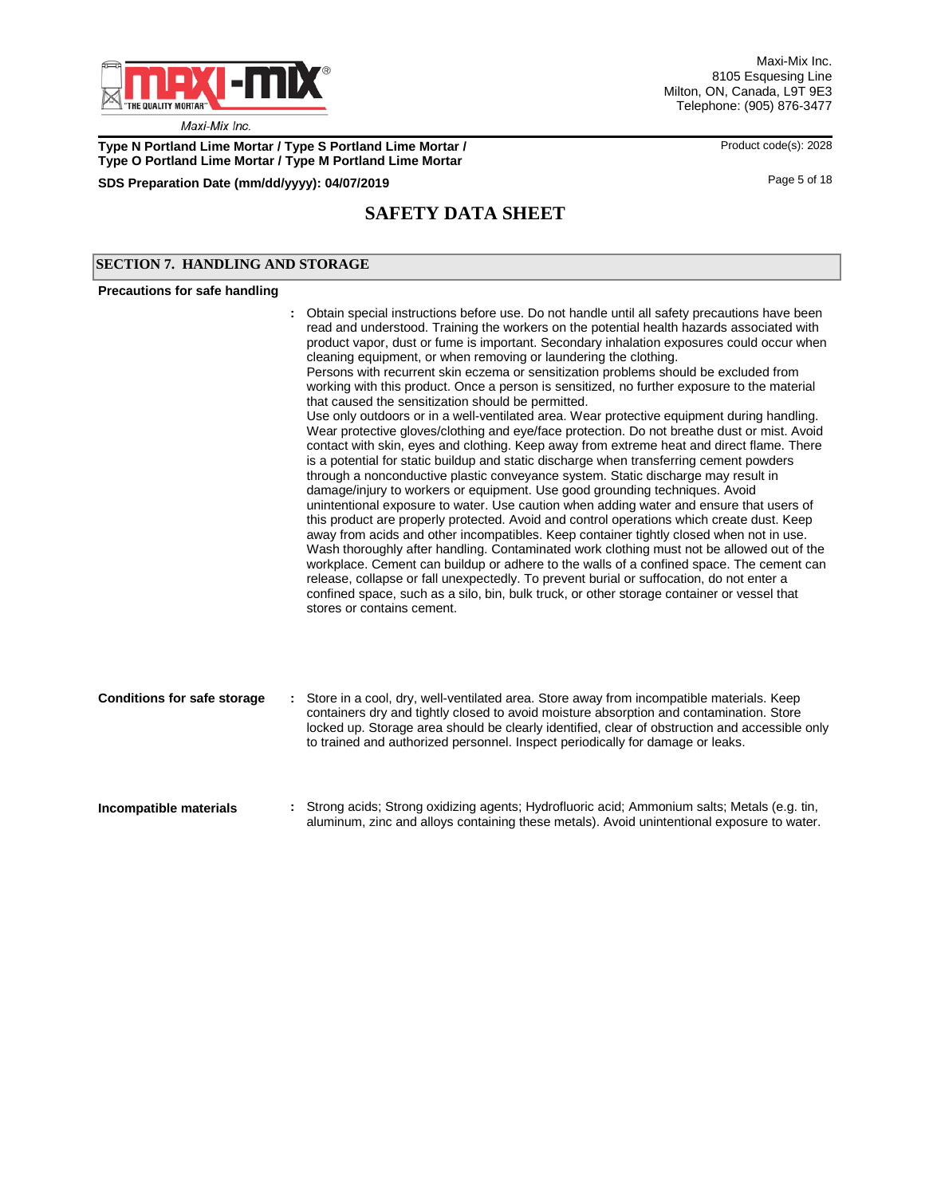

**Type N Portland Lime Mortar / Type S Portland Lime Mortar / Product code(s): 2028 Type O Portland Lime Mortar / Type M Portland Lime Mortar**

**SDS Preparation Date (mm/dd/yyyy): 04/07/2019 04/07/2019 18/07/2019 18/07/2019 18** 

# **SAFETY DATA SHEET**

### **SECTION 7. HANDLING AND STORAGE**

#### **Precautions for safe handling**

# Obtain special instructions before use. Do not handle until all safety precautions have been **:** read and understood. Training the workers on the potential health hazards associated with product vapor, dust or fume is important. Secondary inhalation exposures could occur when cleaning equipment, or when removing or laundering the clothing. Persons with recurrent skin eczema or sensitization problems should be excluded from working with this product. Once a person is sensitized, no further exposure to the material

that caused the sensitization should be permitted. Use only outdoors or in a well-ventilated area. Wear protective equipment during handling. Wear protective gloves/clothing and eye/face protection. Do not breathe dust or mist. Avoid contact with skin, eyes and clothing. Keep away from extreme heat and direct flame. There is a potential for static buildup and static discharge when transferring cement powders through a nonconductive plastic conveyance system. Static discharge may result in damage/injury to workers or equipment. Use good grounding techniques. Avoid unintentional exposure to water. Use caution when adding water and ensure that users of this product are properly protected. Avoid and control operations which create dust. Keep away from acids and other incompatibles. Keep container tightly closed when not in use. Wash thoroughly after handling. Contaminated work clothing must not be allowed out of the workplace. Cement can buildup or adhere to the walls of a confined space. The cement can release, collapse or fall unexpectedly. To prevent burial or suffocation, do not enter a confined space, such as a silo, bin, bulk truck, or other storage container or vessel that stores or contains cement.

aluminum, zinc and alloys containing these metals). Avoid unintentional exposure to water.

| <b>Conditions for safe storage</b> | : Store in a cool, dry, well-ventilated area. Store away from incompatible materials. Keep<br>containers dry and tightly closed to avoid moisture absorption and contamination. Store<br>locked up. Storage area should be clearly identified, clear of obstruction and accessible only<br>to trained and authorized personnel. Inspect periodically for damage or leaks. |
|------------------------------------|---------------------------------------------------------------------------------------------------------------------------------------------------------------------------------------------------------------------------------------------------------------------------------------------------------------------------------------------------------------------------|
| Incompatible materials             | : Strong acids; Strong oxidizing agents; Hydrofluoric acid; Ammonium salts; Metals (e.g. tin,                                                                                                                                                                                                                                                                             |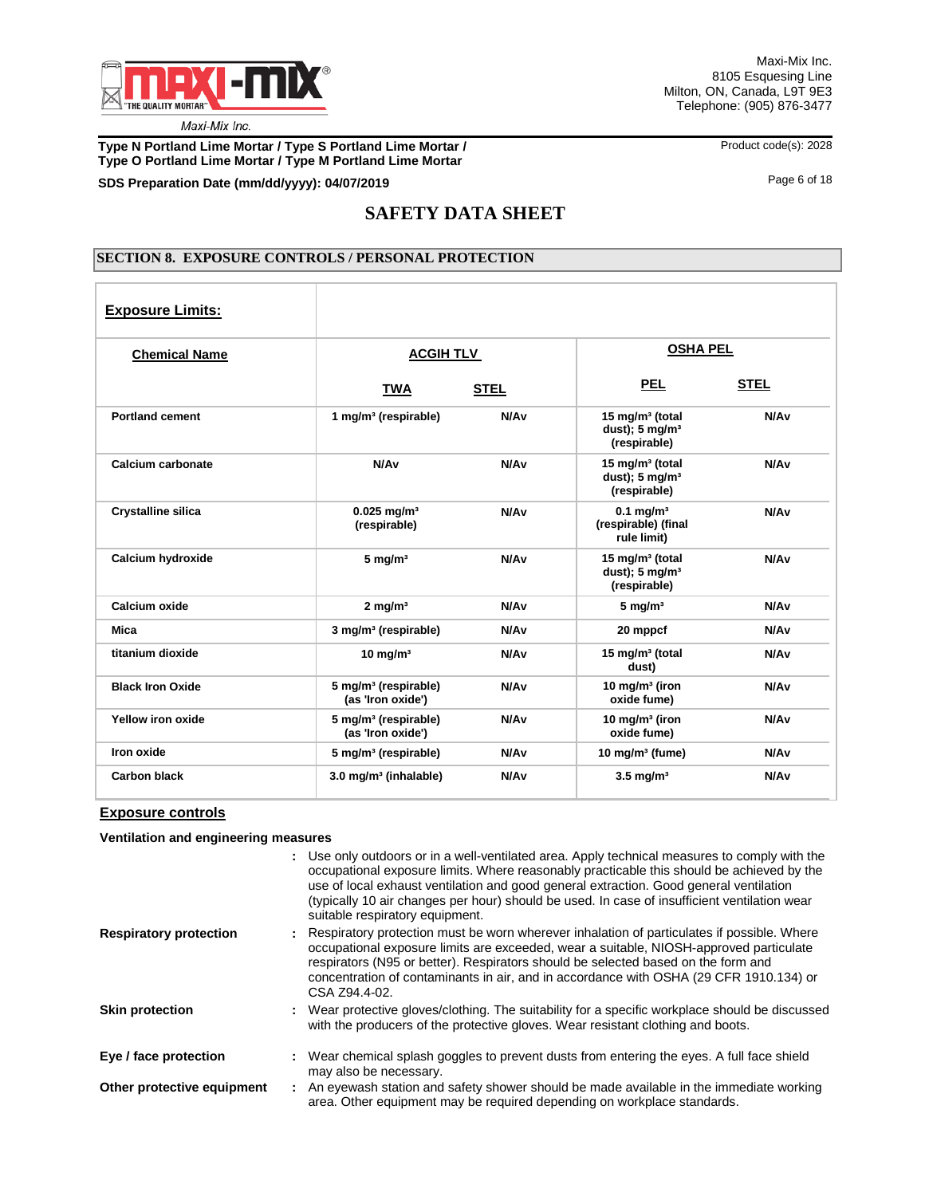

**Type N Portland Lime Mortar / Type S Portland Lime Mortar / We are a mortar and Archael Code(s): 2028 Type O Portland Lime Mortar / Type M Portland Lime Mortar**

**SDS Preparation Date (mm/dd/yyyy): 04/07/2019 04/07/2019 18/07/2019 18** 

# **SAFETY DATA SHEET**

### **SECTION 8. EXPOSURE CONTROLS / PERSONAL PROTECTION**

| <b>Exposure Limits:</b>   |                                                       |                  |                                                                          |                  |
|---------------------------|-------------------------------------------------------|------------------|--------------------------------------------------------------------------|------------------|
| <b>Chemical Name</b>      | <b>ACGIH TLV</b>                                      |                  | <b>OSHA PEL</b>                                                          |                  |
|                           | <b>TWA</b>                                            | <b>STEL</b>      | <b>PEL</b>                                                               | <b>STEL</b>      |
| <b>Portland cement</b>    | 1 mg/m <sup>3</sup> (respirable)                      | N/A <sub>v</sub> | 15 mg/m <sup>3</sup> (total<br>dust); $5 \text{ mg/m}^3$<br>(respirable) | N/A <sub>v</sub> |
| Calcium carbonate         | N/Av                                                  | N/A <sub>v</sub> | 15 mg/m <sup>3</sup> (total<br>dust); $5 \text{ mg/m}^3$<br>(respirable) | N/A <sub>v</sub> |
| <b>Crystalline silica</b> | $0.025$ mg/m <sup>3</sup><br>(respirable)             | N/A <sub>v</sub> | $0.1$ mg/m <sup>3</sup><br>(respirable) (final<br>rule limit)            | N/A <sub>v</sub> |
| Calcium hydroxide         | $5 \text{ mg/m}^3$                                    | N/A <sub>v</sub> | 15 mg/m <sup>3</sup> (total<br>dust); $5 \text{ mg/m}^3$<br>(respirable) | N/A <sub>v</sub> |
| Calcium oxide             | $2$ mg/m <sup>3</sup>                                 | N/A <sub>v</sub> | $5 \text{ mg/m}^3$                                                       | N/A <sub>v</sub> |
| Mica                      | 3 mg/m <sup>3</sup> (respirable)                      | N/A <sub>v</sub> | 20 mppcf                                                                 | N/A <sub>v</sub> |
| titanium dioxide          | $10 \text{ mg/m}^3$                                   | N/A <sub>v</sub> | 15 mg/m <sup>3</sup> (total<br>dust)                                     | N/A <sub>v</sub> |
| <b>Black Iron Oxide</b>   | 5 mg/m <sup>3</sup> (respirable)<br>(as 'Iron oxide') | N/A <sub>v</sub> | 10 mg/m <sup>3</sup> (iron<br>oxide fume)                                | N/A <sub>v</sub> |
| Yellow iron oxide         | 5 mg/m <sup>3</sup> (respirable)<br>(as 'Iron oxide') | N/A <sub>v</sub> | 10 mg/m $3$ (iron<br>oxide fume)                                         | N/A <sub>v</sub> |
| Iron oxide                | 5 mg/m <sup>3</sup> (respirable)                      | N/A <sub>v</sub> | 10 mg/m $3$ (fume)                                                       | N/A <sub>v</sub> |
| <b>Carbon black</b>       | 3.0 mg/m <sup>3</sup> (inhalable)                     | N/A <sub>v</sub> | $3.5$ mg/m <sup>3</sup>                                                  | N/A <sub>v</sub> |

### **Exposure controls**

**Ventilation and engineering measures**

|                               | : Use only outdoors or in a well-ventilated area. Apply technical measures to comply with the<br>occupational exposure limits. Where reasonably practicable this should be achieved by the<br>use of local exhaust ventilation and good general extraction. Good general ventilation<br>(typically 10 air changes per hour) should be used. In case of insufficient ventilation wear<br>suitable respiratory equipment. |
|-------------------------------|-------------------------------------------------------------------------------------------------------------------------------------------------------------------------------------------------------------------------------------------------------------------------------------------------------------------------------------------------------------------------------------------------------------------------|
| <b>Respiratory protection</b> | : Respiratory protection must be worn wherever inhalation of particulates if possible. Where<br>occupational exposure limits are exceeded, wear a suitable, NIOSH-approved particulate<br>respirators (N95 or better). Respirators should be selected based on the form and<br>concentration of contaminants in air, and in accordance with OSHA (29 CFR 1910.134) or<br>CSA Z94.4-02.                                  |
| <b>Skin protection</b>        | : Wear protective gloves/clothing. The suitability for a specific workplace should be discussed<br>with the producers of the protective gloves. Wear resistant clothing and boots.                                                                                                                                                                                                                                      |
| Eye / face protection         | : Wear chemical splash goggles to prevent dusts from entering the eyes. A full face shield<br>may also be necessary.                                                                                                                                                                                                                                                                                                    |
| Other protective equipment    | : An eyewash station and safety shower should be made available in the immediate working<br>area. Other equipment may be required depending on workplace standards.                                                                                                                                                                                                                                                     |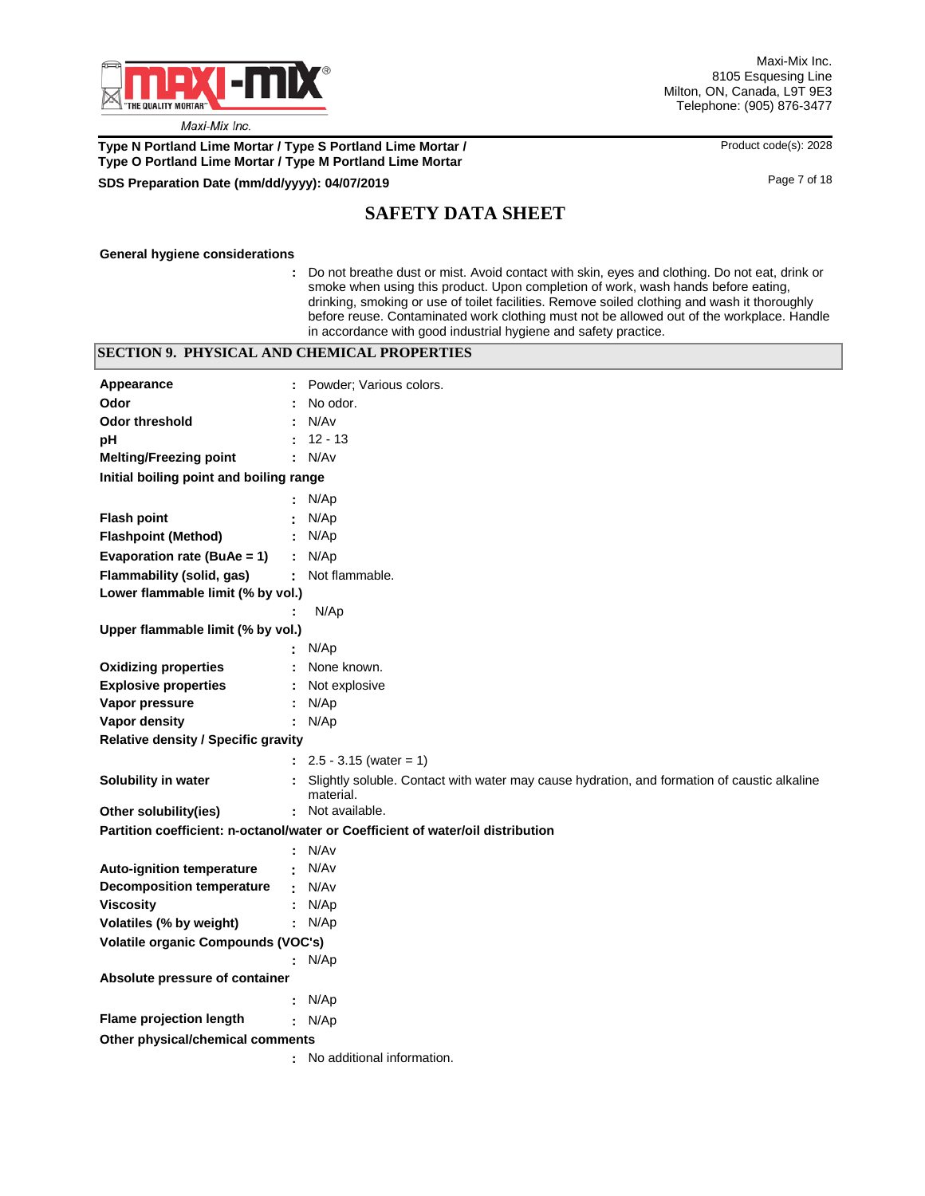

Maxi-Mix Inc. 8105 Esquesing Line Milton, ON, Canada, L9T 9E3 Telephone: (905) 876-3477

## **Type N Portland Lime Mortar / Type S Portland Lime Mortar / <br>
Product code(s): 2028 Type O Portland Lime Mortar / Type M Portland Lime Mortar**

## **SDS Preparation Date (mm/dd/yyyy):** Page 7 of 18 **04/07/2019**

# **SAFETY DATA SHEET**

**General hygiene considerations**

**:** Do not breathe dust or mist. Avoid contact with skin, eyes and clothing. Do not eat, drink or smoke when using this product. Upon completion of work, wash hands before eating, drinking, smoking or use of toilet facilities. Remove soiled clothing and wash it thoroughly before reuse. Contaminated work clothing must not be allowed out of the workplace. Handle in accordance with good industrial hygiene and safety practice.

|                                            | <b>SECTION 9. PHYSICAL AND CHEMICAL PROPERTIES</b>                                                       |  |
|--------------------------------------------|----------------------------------------------------------------------------------------------------------|--|
| Appearance                                 | : Powder: Various colors.                                                                                |  |
| Odor                                       | No odor.                                                                                                 |  |
| <b>Odor threshold</b>                      | N/Av                                                                                                     |  |
| pH                                         | $12 - 13$                                                                                                |  |
| <b>Melting/Freezing point</b>              | : N/Av                                                                                                   |  |
| Initial boiling point and boiling range    |                                                                                                          |  |
|                                            | : $N/Ap$                                                                                                 |  |
| <b>Flash point</b>                         | N/Ap                                                                                                     |  |
| <b>Flashpoint (Method)</b>                 | N/Ap                                                                                                     |  |
| Evaporation rate (BuAe = 1)                | : $N/Ap$                                                                                                 |  |
| Flammability (solid, gas)                  | : Not flammable.                                                                                         |  |
| Lower flammable limit (% by vol.)          |                                                                                                          |  |
|                                            | N/Ap<br>÷                                                                                                |  |
| Upper flammable limit (% by vol.)          |                                                                                                          |  |
|                                            | N/Ap                                                                                                     |  |
| <b>Oxidizing properties</b>                | None known.                                                                                              |  |
| <b>Explosive properties</b>                | Not explosive                                                                                            |  |
| Vapor pressure                             | N/Ap<br>÷                                                                                                |  |
| Vapor density                              | : $N/Ap$                                                                                                 |  |
| <b>Relative density / Specific gravity</b> |                                                                                                          |  |
|                                            | $\therefore$ 2.5 - 3.15 (water = 1)                                                                      |  |
| Solubility in water                        | Slightly soluble. Contact with water may cause hydration, and formation of caustic alkaline<br>material. |  |
| Other solubility(ies)                      | : Not available.                                                                                         |  |
|                                            | Partition coefficient: n-octanol/water or Coefficient of water/oil distribution                          |  |
|                                            | : N/Av                                                                                                   |  |
| <b>Auto-ignition temperature</b>           | N/Av                                                                                                     |  |
| <b>Decomposition temperature</b>           | N/Av                                                                                                     |  |
| <b>Viscosity</b>                           | N/Ap<br>÷                                                                                                |  |
| Volatiles (% by weight)                    | : $N/Ap$                                                                                                 |  |
| Volatile organic Compounds (VOC's)         |                                                                                                          |  |
|                                            | : $N/Ap$                                                                                                 |  |
| Absolute pressure of container             |                                                                                                          |  |
|                                            | : $N/Ap$                                                                                                 |  |
| <b>Flame projection length</b>             | : $N/Ap$                                                                                                 |  |
| Other physical/chemical comments           |                                                                                                          |  |
|                                            | : No additional information.                                                                             |  |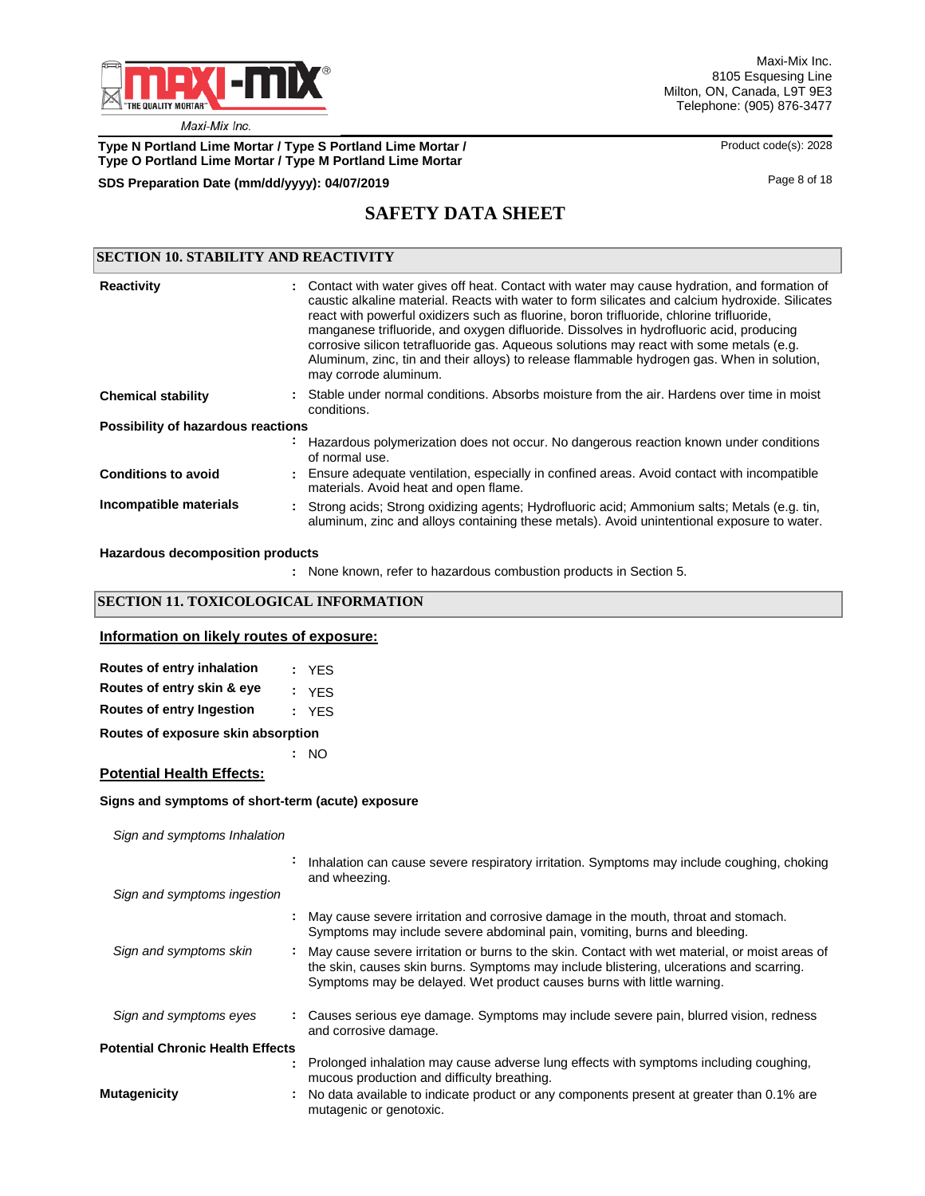

**Type N Portland Lime Mortar / Type S Portland Lime Mortar / Product code(s): 2028 Type O Portland Lime Mortar / Type M Portland Lime Mortar**

# **SDS Preparation Date (mm/dd/yyyy): 04/07/2019 04/07/2019 18/07/2019 18**

## **SAFETY DATA SHEET**

| <b>SECTION 10. STABILITY AND REACTIVITY</b> |  |                                                                                                                                                                                                                                                                                                                                                                                                                                                                                                                                                                                                           |  |
|---------------------------------------------|--|-----------------------------------------------------------------------------------------------------------------------------------------------------------------------------------------------------------------------------------------------------------------------------------------------------------------------------------------------------------------------------------------------------------------------------------------------------------------------------------------------------------------------------------------------------------------------------------------------------------|--|
| <b>Reactivity</b>                           |  | : Contact with water gives off heat. Contact with water may cause hydration, and formation of<br>caustic alkaline material. Reacts with water to form silicates and calcium hydroxide. Silicates<br>react with powerful oxidizers such as fluorine, boron trifluoride, chlorine trifluoride,<br>manganese trifluoride, and oxygen difluoride. Dissolves in hydrofluoric acid, producing<br>corrosive silicon tetrafluoride gas. Aqueous solutions may react with some metals (e.g.<br>Aluminum, zinc, tin and their alloys) to release flammable hydrogen gas. When in solution,<br>may corrode aluminum. |  |
| <b>Chemical stability</b>                   |  | : Stable under normal conditions. Absorbs moisture from the air. Hardens over time in moist<br>conditions.                                                                                                                                                                                                                                                                                                                                                                                                                                                                                                |  |
| Possibility of hazardous reactions          |  |                                                                                                                                                                                                                                                                                                                                                                                                                                                                                                                                                                                                           |  |
|                                             |  | Hazardous polymerization does not occur. No dangerous reaction known under conditions<br>of normal use.                                                                                                                                                                                                                                                                                                                                                                                                                                                                                                   |  |
| <b>Conditions to avoid</b>                  |  | : Ensure adequate ventilation, especially in confined areas. Avoid contact with incompatible<br>materials. Avoid heat and open flame.                                                                                                                                                                                                                                                                                                                                                                                                                                                                     |  |
| Incompatible materials                      |  | : Strong acids; Strong oxidizing agents; Hydrofluoric acid; Ammonium salts; Metals (e.g. tin,<br>aluminum, zinc and alloys containing these metals). Avoid unintentional exposure to water.                                                                                                                                                                                                                                                                                                                                                                                                               |  |

### **Hazardous decomposition products**

None known, refer to hazardous combustion products in Section 5. **:**

## **SECTION 11. TOXICOLOGICAL INFORMATION**

### **Information on likely routes of exposure:**

| Routes of entry inhalation         | : YES |
|------------------------------------|-------|
| Routes of entry skin & eye         | : YFS |
| <b>Routes of entry Ingestion</b>   | : YFS |
| Routes of exposure skin absorption |       |
|                                    | NO.   |

**Potential Health Effects:**

#### **Signs and symptoms of short-term (acute) exposure**

*Sign and symptoms Inhalation*

|                                         | Inhalation can cause severe respiratory irritation. Symptoms may include coughing, choking<br>and wheezing.                                                                                                                                                           |
|-----------------------------------------|-----------------------------------------------------------------------------------------------------------------------------------------------------------------------------------------------------------------------------------------------------------------------|
| Sign and symptoms ingestion             |                                                                                                                                                                                                                                                                       |
|                                         | : May cause severe irritation and corrosive damage in the mouth, throat and stomach.<br>Symptoms may include severe abdominal pain, vomiting, burns and bleeding.                                                                                                     |
| Sign and symptoms skin                  | : May cause severe irritation or burns to the skin. Contact with wet material, or moist areas of<br>the skin, causes skin burns. Symptoms may include blistering, ulcerations and scarring.<br>Symptoms may be delayed. Wet product causes burns with little warning. |
| Sign and symptoms eyes                  | : Causes serious eye damage. Symptoms may include severe pain, blurred vision, redness<br>and corrosive damage.                                                                                                                                                       |
| <b>Potential Chronic Health Effects</b> |                                                                                                                                                                                                                                                                       |
|                                         | : Prolonged inhalation may cause adverse lung effects with symptoms including coughing,<br>mucous production and difficulty breathing.                                                                                                                                |
| Mutagenicity                            | : No data available to indicate product or any components present at greater than 0.1% are<br>mutagenic or genotoxic.                                                                                                                                                 |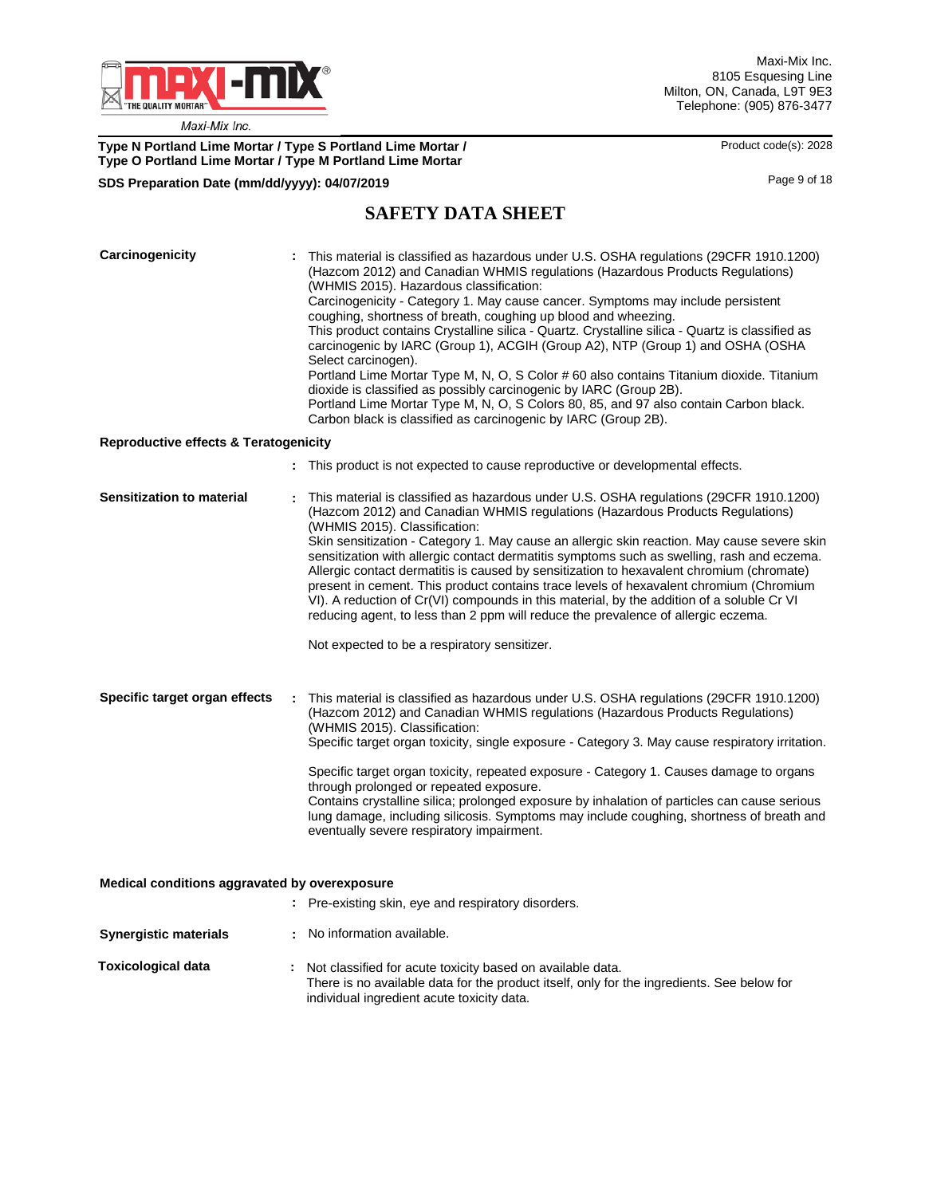

**Type N Portland Lime Mortar / Type S Portland Lime Mortar / We are a mortar and Archael Code(s): 2028 Type O Portland Lime Mortar / Type M Portland Lime Mortar**

# **SDS Preparation Date (mm/dd/yyyy): 04/07/2019 04/07/2019 18 04/07/2019 18 04/07/2019 18 04/07/2019 18**

# **SAFETY DATA SHEET**

| Carcinogenicity<br><b>Reproductive effects &amp; Teratogenicity</b> | This material is classified as hazardous under U.S. OSHA regulations (29CFR 1910.1200)<br>(Hazcom 2012) and Canadian WHMIS regulations (Hazardous Products Regulations)<br>(WHMIS 2015). Hazardous classification:<br>Carcinogenicity - Category 1. May cause cancer. Symptoms may include persistent<br>coughing, shortness of breath, coughing up blood and wheezing.<br>This product contains Crystalline silica - Quartz. Crystalline silica - Quartz is classified as<br>carcinogenic by IARC (Group 1), ACGIH (Group A2), NTP (Group 1) and OSHA (OSHA<br>Select carcinogen).<br>Portland Lime Mortar Type M, N, O, S Color # 60 also contains Titanium dioxide. Titanium<br>dioxide is classified as possibly carcinogenic by IARC (Group 2B).<br>Portland Lime Mortar Type M, N, O, S Colors 80, 85, and 97 also contain Carbon black.<br>Carbon black is classified as carcinogenic by IARC (Group 2B). |
|---------------------------------------------------------------------|------------------------------------------------------------------------------------------------------------------------------------------------------------------------------------------------------------------------------------------------------------------------------------------------------------------------------------------------------------------------------------------------------------------------------------------------------------------------------------------------------------------------------------------------------------------------------------------------------------------------------------------------------------------------------------------------------------------------------------------------------------------------------------------------------------------------------------------------------------------------------------------------------------------|
|                                                                     |                                                                                                                                                                                                                                                                                                                                                                                                                                                                                                                                                                                                                                                                                                                                                                                                                                                                                                                  |
|                                                                     | : This product is not expected to cause reproductive or developmental effects.                                                                                                                                                                                                                                                                                                                                                                                                                                                                                                                                                                                                                                                                                                                                                                                                                                   |
| Sensitization to material                                           | This material is classified as hazardous under U.S. OSHA regulations (29CFR 1910.1200)<br>(Hazcom 2012) and Canadian WHMIS regulations (Hazardous Products Regulations)<br>(WHMIS 2015). Classification:<br>Skin sensitization - Category 1. May cause an allergic skin reaction. May cause severe skin<br>sensitization with allergic contact dermatitis symptoms such as swelling, rash and eczema.<br>Allergic contact dermatitis is caused by sensitization to hexavalent chromium (chromate)<br>present in cement. This product contains trace levels of hexavalent chromium (Chromium<br>VI). A reduction of Cr(VI) compounds in this material, by the addition of a soluble Cr VI<br>reducing agent, to less than 2 ppm will reduce the prevalence of allergic eczema.<br>Not expected to be a respiratory sensitizer.                                                                                    |
| Specific target organ effects                                       | : This material is classified as hazardous under U.S. OSHA regulations (29CFR 1910.1200)<br>(Hazcom 2012) and Canadian WHMIS regulations (Hazardous Products Regulations)<br>(WHMIS 2015). Classification:<br>Specific target organ toxicity, single exposure - Category 3. May cause respiratory irritation.<br>Specific target organ toxicity, repeated exposure - Category 1. Causes damage to organs<br>through prolonged or repeated exposure.<br>Contains crystalline silica; prolonged exposure by inhalation of particles can cause serious<br>lung damage, including silicosis. Symptoms may include coughing, shortness of breath and<br>eventually severe respiratory impairment.                                                                                                                                                                                                                     |
|                                                                     |                                                                                                                                                                                                                                                                                                                                                                                                                                                                                                                                                                                                                                                                                                                                                                                                                                                                                                                  |
| Medical conditions aggravated by overexposure                       | : Pre-existing skin, eye and respiratory disorders.                                                                                                                                                                                                                                                                                                                                                                                                                                                                                                                                                                                                                                                                                                                                                                                                                                                              |
|                                                                     |                                                                                                                                                                                                                                                                                                                                                                                                                                                                                                                                                                                                                                                                                                                                                                                                                                                                                                                  |
| <b>Synergistic materials</b>                                        | : No information available.                                                                                                                                                                                                                                                                                                                                                                                                                                                                                                                                                                                                                                                                                                                                                                                                                                                                                      |
| <b>Toxicological data</b>                                           | : Not classified for acute toxicity based on available data.<br>There is no available data for the product itself, only for the ingredients. See below for<br>individual ingredient acute toxicity data.                                                                                                                                                                                                                                                                                                                                                                                                                                                                                                                                                                                                                                                                                                         |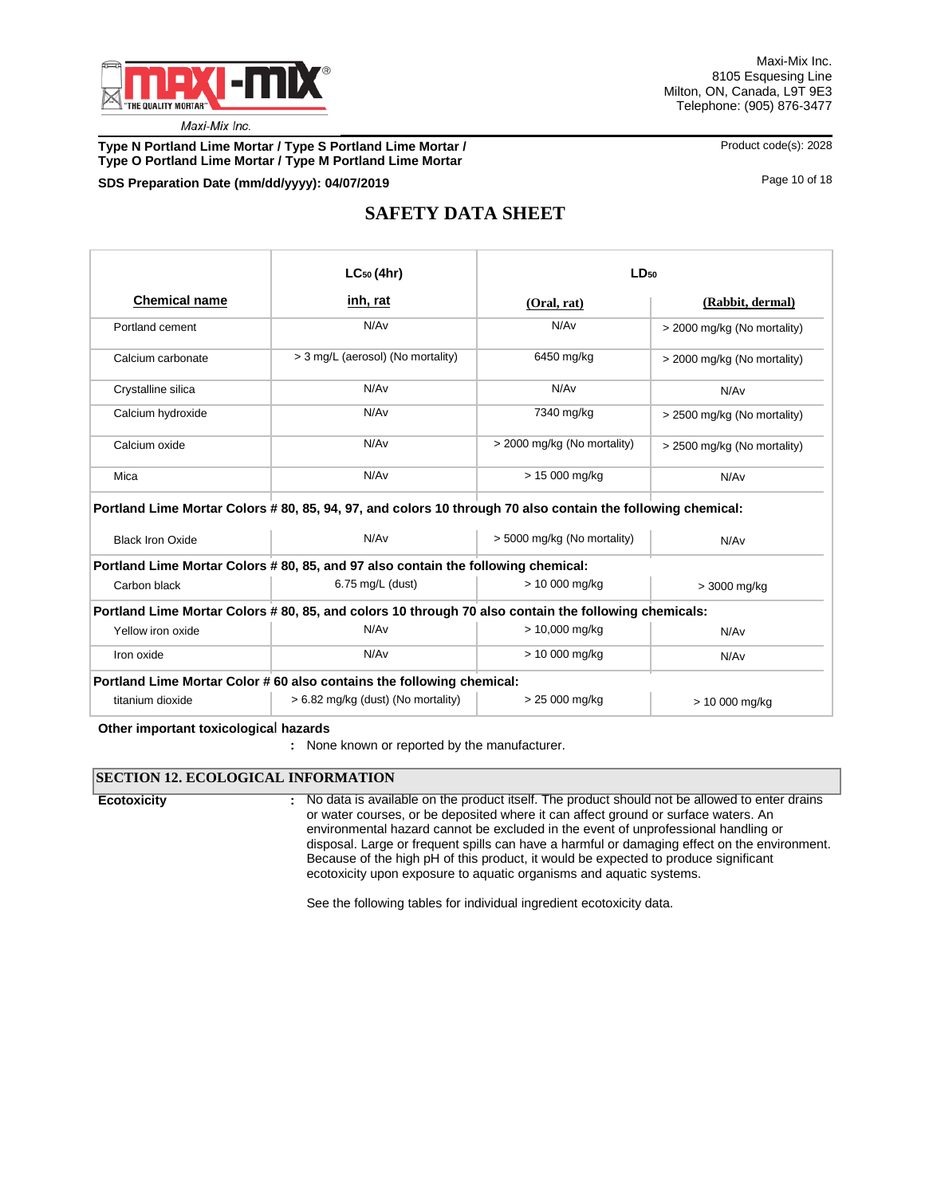

**Type N Portland Lime Mortar / Type S Portland Lime Mortar / Product code(s): 2028 Type O Portland Lime Mortar / Type M Portland Lime Mortar**

**SDS Preparation Date (mm/dd/yyyy): 04/07/2019 04/07/2019 10.04/07/2019 Page 10 of 18** 

# **SAFETY DATA SHEET**

|                      | $LC_{50}$ (4hr)                   | $LD_{50}$                   |                             |
|----------------------|-----------------------------------|-----------------------------|-----------------------------|
| <b>Chemical name</b> | inh, rat                          | (Oral, rat)                 | (Rabbit, dermal)            |
| Portland cement      | N/Av                              | N/A <sub>v</sub>            | > 2000 mg/kg (No mortality) |
| Calcium carbonate    | > 3 mg/L (aerosol) (No mortality) | 6450 mg/kg                  | > 2000 mg/kg (No mortality) |
| Crystalline silica   | N/Av                              | N/A <sub>v</sub>            | N/Av                        |
| Calcium hydroxide    | N/Av                              | 7340 mg/kg                  | > 2500 mg/kg (No mortality) |
| Calcium oxide        | N/Av                              | > 2000 mg/kg (No mortality) | > 2500 mg/kg (No mortality) |
| Mica                 | N/Av                              | > 15 000 mg/kg              | N/Av                        |

| <b>Black Iron Oxide</b>                                                                             | N/Av                                 | > 5000 mg/kg (No mortality) | N/Av           |  |  |  |  |  |  |
|-----------------------------------------------------------------------------------------------------|--------------------------------------|-----------------------------|----------------|--|--|--|--|--|--|
| Portland Lime Mortar Colors # 80, 85, and 97 also contain the following chemical:                   |                                      |                             |                |  |  |  |  |  |  |
| Carbon black                                                                                        | $6.75$ mg/L (dust)                   | > 10 000 mg/kg              | > 3000 mg/kg   |  |  |  |  |  |  |
| Portland Lime Mortar Colors #80, 85, and colors 10 through 70 also contain the following chemicals: |                                      |                             |                |  |  |  |  |  |  |
| Yellow iron oxide                                                                                   | N/Av                                 | > 10,000 mg/kg              | N/Av           |  |  |  |  |  |  |
| Iron oxide                                                                                          | N/Av                                 | > 10 000 mg/kg              |                |  |  |  |  |  |  |
| Portland Lime Mortar Color #60 also contains the following chemical:                                |                                      |                             |                |  |  |  |  |  |  |
| titanium dioxide                                                                                    | $> 6.82$ mg/kg (dust) (No mortality) | > 25 000 mg/kg              | > 10 000 mg/kg |  |  |  |  |  |  |

#### **Other important toxicologica**l **hazards**

### **SECTION 12. ECOLOGICAL INFORMATION**

**Ecotoxicity :**

No data is available on the product itself. The product should not be allowed to enter drains or water courses, or be deposited where it can affect ground or surface waters. An environmental hazard cannot be excluded in the event of unprofessional handling or disposal. Large or frequent spills can have a harmful or damaging effect on the environment. Because of the high pH of this product, it would be expected to produce significant ecotoxicity upon exposure to aquatic organisms and aquatic systems.

See the following tables for individual ingredient ecotoxicity data.

**<sup>:</sup>** None known or reported by the manufacturer.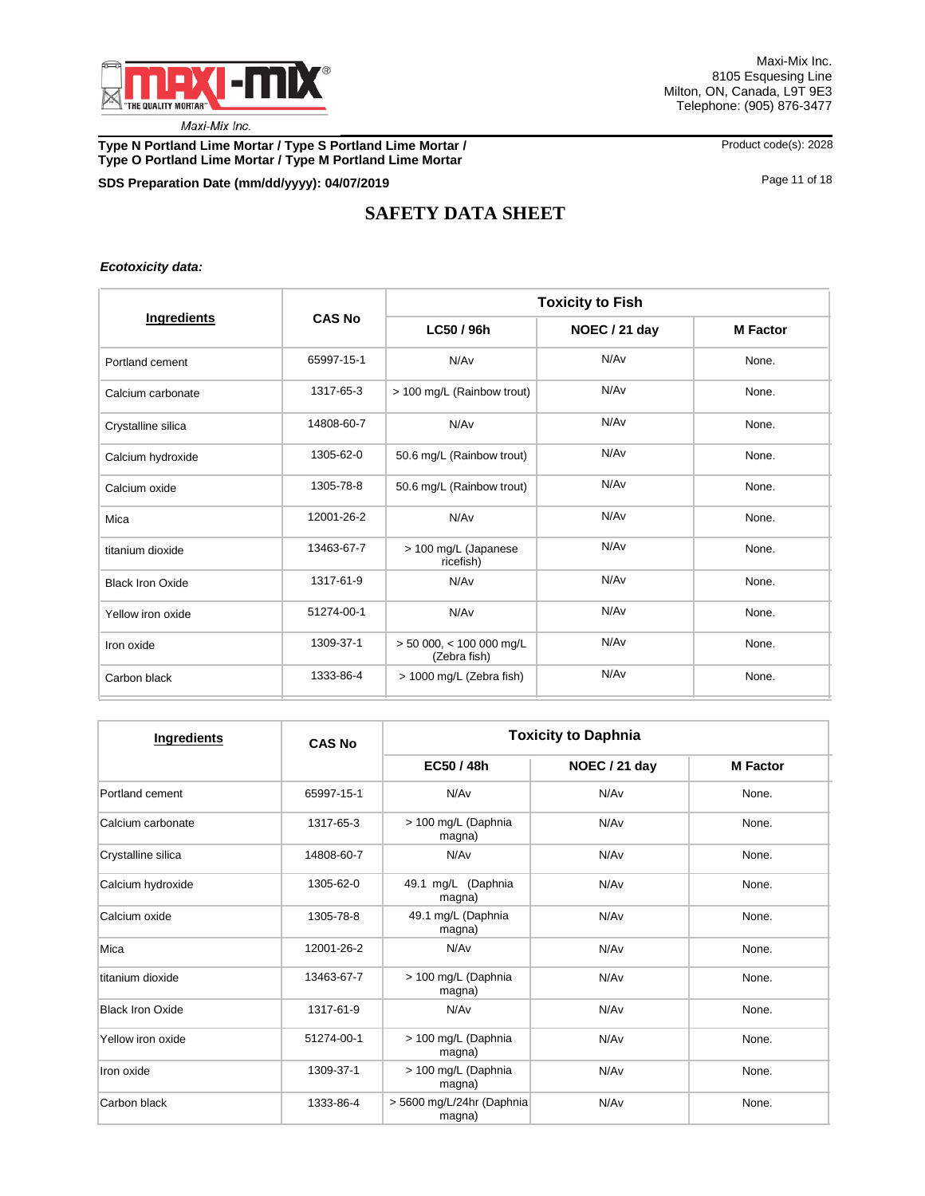

**Type N Portland Lime Mortar / Type S Portland Lime Mortar /** Product code(s): 2028 **Type O Portland Lime Mortar / Type M Portland Lime Mortar**

## **SDS Preparation Date (mm/dd/yyyy): 04/07/2019 04/07/2019 10.000 10.000 10.000 10.000 11 of 18 Page 11 of 18**

# **SAFETY DATA SHEET**

### *Ecotoxicity data:*

|                         |               | <b>Toxicity to Fish</b>                    |                  |                 |  |  |
|-------------------------|---------------|--------------------------------------------|------------------|-----------------|--|--|
| Ingredients             | <b>CAS No</b> | LC50 / 96h                                 | NOEC / 21 day    | <b>M</b> Factor |  |  |
| Portland cement         | 65997-15-1    | N/Av                                       | N/A <sub>v</sub> | None.           |  |  |
| Calcium carbonate       | 1317-65-3     | > 100 mg/L (Rainbow trout)                 | N/A <sub>v</sub> | None.           |  |  |
| Crystalline silica      | 14808-60-7    | N/Av                                       | N/A <sub>v</sub> | None.           |  |  |
| Calcium hydroxide       | 1305-62-0     | 50.6 mg/L (Rainbow trout)                  | N/Av             | None.           |  |  |
| Calcium oxide           | 1305-78-8     | 50.6 mg/L (Rainbow trout)                  | N/A <sub>v</sub> | None.           |  |  |
| Mica                    | 12001-26-2    | N/Av                                       | N/A <sub>v</sub> | None.           |  |  |
| titanium dioxide        | 13463-67-7    | > 100 mg/L (Japanese<br>ricefish)          | N/A <sub>v</sub> | None.           |  |  |
| <b>Black Iron Oxide</b> | 1317-61-9     | N/Av                                       | N/Av             | None.           |  |  |
| Yellow iron oxide       | 51274-00-1    | N/Av                                       | N/Av             | None.           |  |  |
| Iron oxide              | 1309-37-1     | $> 50000$ , < 100 000 mg/L<br>(Zebra fish) | N/Av             | None.           |  |  |
| Carbon black            | 1333-86-4     | > 1000 mg/L (Zebra fish)                   | N/A <sub>v</sub> | None.           |  |  |

| Ingredients             | <b>CAS No</b> | <b>Toxicity to Daphnia</b>            |               |                 |  |  |
|-------------------------|---------------|---------------------------------------|---------------|-----------------|--|--|
|                         |               | EC50 / 48h                            | NOEC / 21 day | <b>M</b> Factor |  |  |
| Portland cement         | 65997-15-1    | N/A <sub>v</sub>                      | N/Av          | None.           |  |  |
| Calcium carbonate       | 1317-65-3     | > 100 mg/L (Daphnia<br>magna)         | N/Av          | None.           |  |  |
| Crystalline silica      | 14808-60-7    | N/Av                                  | N/Av          | None.           |  |  |
| Calcium hydroxide       | 1305-62-0     | mg/L (Daphnia<br>49.1<br>magna)       | N/Av          |                 |  |  |
| Calcium oxide           | 1305-78-8     | 49.1 mg/L (Daphnia<br>magna)          | N/Av          |                 |  |  |
| Mica                    | 12001-26-2    | N/A <sub>v</sub>                      | N/Av          | None.           |  |  |
| titanium dioxide        | 13463-67-7    | > 100 mg/L (Daphnia<br>magna)         | N/Av          | None.           |  |  |
| <b>Black Iron Oxide</b> | 1317-61-9     | N/A <sub>v</sub>                      | N/Av          | None.           |  |  |
| Yellow iron oxide       | 51274-00-1    | > 100 mg/L (Daphnia<br>magna)         | N/Av          | None.           |  |  |
| Iron oxide              | 1309-37-1     | > 100 mg/L (Daphnia<br>N/Av<br>magna) |               | None.           |  |  |
| Carbon black            | 1333-86-4     | > 5600 mg/L/24hr (Daphnia<br>magna)   | N/Av          | None.           |  |  |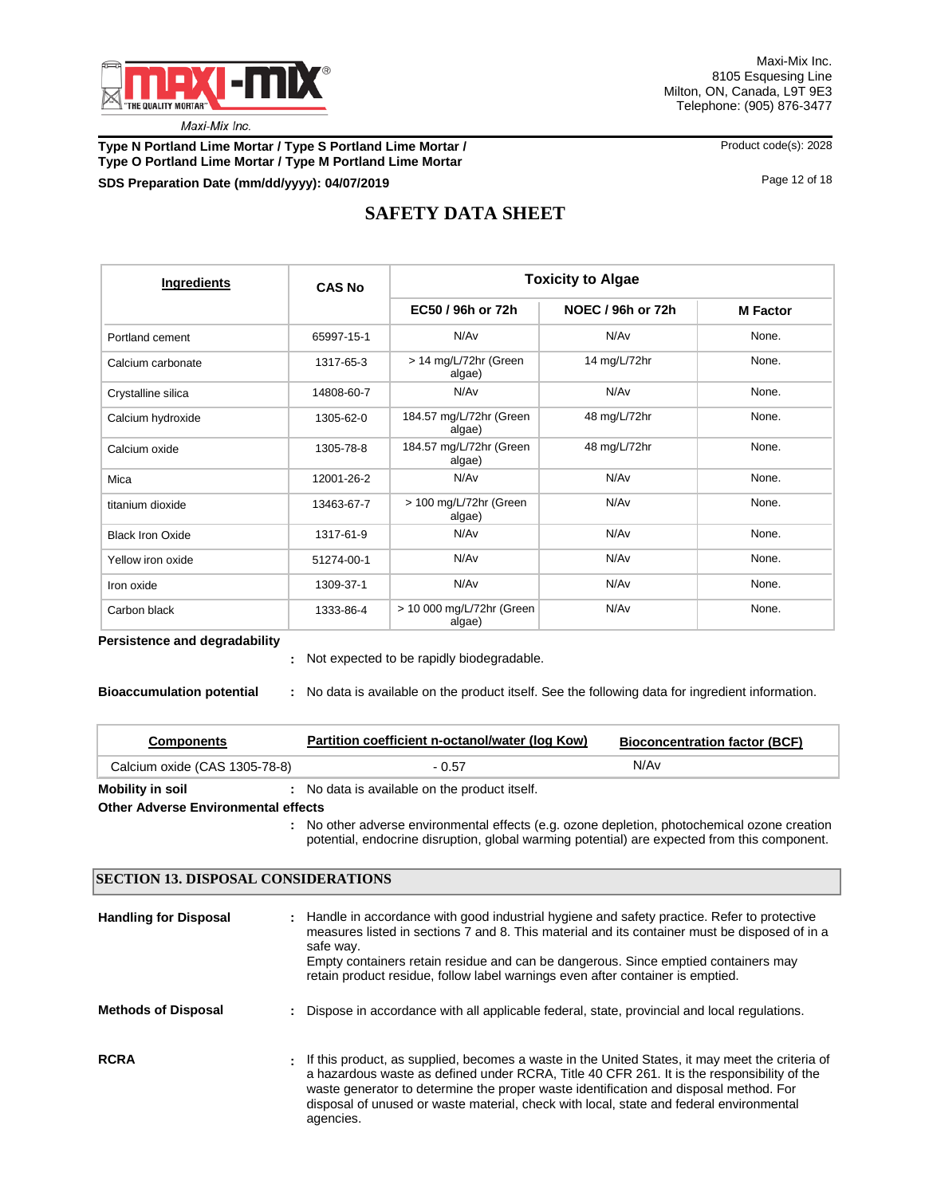

**Type N Portland Lime Mortar / Type S Portland Lime Mortar / Product code(s): 2028 Type O Portland Lime Mortar / Type M Portland Lime Mortar**

## **SDS Preparation Date (mm/dd/yyyy): 04/07/2019 04/07/2019 12 04/07/2019 Page 12 of 18**

# **SAFETY DATA SHEET**

| Ingredients             | <b>CAS No</b> | <b>Toxicity to Algae</b>            |                   |                 |  |  |
|-------------------------|---------------|-------------------------------------|-------------------|-----------------|--|--|
|                         |               | EC50 / 96h or 72h                   | NOEC / 96h or 72h | <b>M</b> Factor |  |  |
| Portland cement         | 65997-15-1    | N/Av                                | N/Av              | None.           |  |  |
| Calcium carbonate       | 1317-65-3     | > 14 mg/L/72hr (Green<br>algae)     | 14 mg/L/72hr      | None.           |  |  |
| Crystalline silica      | 14808-60-7    | N/Av                                | N/Av              | None.           |  |  |
| Calcium hydroxide       | 1305-62-0     | 184.57 mg/L/72hr (Green<br>algae)   | 48 mg/L/72hr      | None.           |  |  |
| Calcium oxide           | 1305-78-8     | 184.57 mg/L/72hr (Green<br>algae)   | 48 mg/L/72hr      | None.           |  |  |
| Mica                    | 12001-26-2    | N/Av                                | N/Av              | None.           |  |  |
| titanium dioxide        | 13463-67-7    | > 100 mg/L/72hr (Green<br>algae)    | N/Av              | None.           |  |  |
| <b>Black Iron Oxide</b> | 1317-61-9     | N/Av                                | N/Av              | None.           |  |  |
| Yellow iron oxide       | 51274-00-1    | N/Av                                | N/Av              | None.           |  |  |
| Iron oxide              | 1309-37-1     | N/Av                                | N/Av              | None.           |  |  |
| Carbon black            | 1333-86-4     | > 10 000 mg/L/72hr (Green<br>algae) | N/Av              | None.           |  |  |

#### **Persistence and degradability**

Not expected to be rapidly biodegradable. **:**

| <b>Bioaccumulation potential</b> |  | No data is available on the product itself. See the following data for ingredient information. |  |  |  |  |
|----------------------------------|--|------------------------------------------------------------------------------------------------|--|--|--|--|
|----------------------------------|--|------------------------------------------------------------------------------------------------|--|--|--|--|

| <b>Components</b>             | Partition coefficient n-octanol/water (log Kow) | <b>Bioconcentration factor (BCF)</b> |  |  |
|-------------------------------|-------------------------------------------------|--------------------------------------|--|--|
| Calcium oxide (CAS 1305-78-8) | $-0.57$                                         | N/Av                                 |  |  |
| Mobility in soil              | No data is available on the product itself.     |                                      |  |  |

#### **Other Adverse Environmental effects**

No other adverse environmental effects (e.g. ozone depletion, photochemical ozone creation **:** potential, endocrine disruption, global warming potential) are expected from this component.

### **SECTION 13. DISPOSAL CONSIDERATIONS**

| <b>Handling for Disposal</b> | : Handle in accordance with good industrial hygiene and safety practice. Refer to protective<br>measures listed in sections 7 and 8. This material and its container must be disposed of in a<br>safe way.<br>Empty containers retain residue and can be dangerous. Since emptied containers may<br>retain product residue, follow label warnings even after container is emptied.               |
|------------------------------|--------------------------------------------------------------------------------------------------------------------------------------------------------------------------------------------------------------------------------------------------------------------------------------------------------------------------------------------------------------------------------------------------|
| <b>Methods of Disposal</b>   | : Dispose in accordance with all applicable federal, state, provincial and local regulations.                                                                                                                                                                                                                                                                                                    |
| <b>RCRA</b>                  | . If this product, as supplied, becomes a waste in the United States, it may meet the criteria of<br>a hazardous waste as defined under RCRA, Title 40 CFR 261. It is the responsibility of the<br>waste generator to determine the proper waste identification and disposal method. For<br>disposal of unused or waste material, check with local, state and federal environmental<br>agencies. |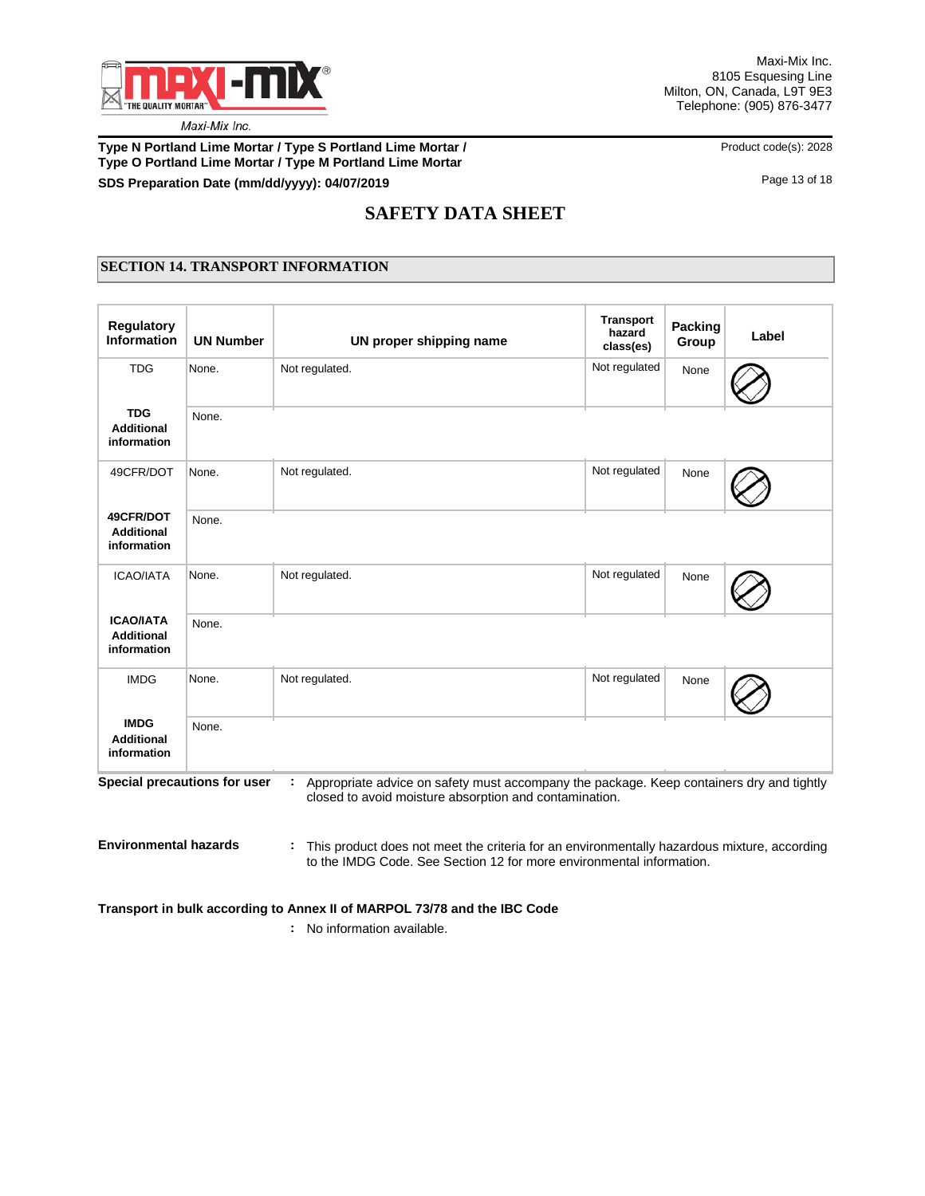

## **Type N Portland Lime Mortar / Type S Portland Lime Mortar /**  Product code(s): 2028 **Type O Portland Lime Mortar / Type M Portland Lime Mortar SDS Preparation Date (mm/dd/yyyy): 04/07/2019 04/07/2019 13 06 18 04/07/2019 Page 13 of 18 Page 13 of 18**

# **SAFETY DATA SHEET**

# **SECTION 14. TRANSPORT INFORMATION**

| Regulatory<br><b>Information</b>                     | <b>UN Number</b>             | UN proper shipping name                                                                                                                                 | <b>Transport</b><br>hazard<br>class(es) | <b>Packing</b><br>Group | Label |
|------------------------------------------------------|------------------------------|---------------------------------------------------------------------------------------------------------------------------------------------------------|-----------------------------------------|-------------------------|-------|
| <b>TDG</b>                                           | None.                        | Not regulated.                                                                                                                                          | Not regulated                           | None                    |       |
| <b>TDG</b><br><b>Additional</b><br>information       | None.                        |                                                                                                                                                         |                                         |                         |       |
| 49CFR/DOT                                            | None.                        | Not regulated.                                                                                                                                          | Not regulated                           | None                    |       |
| 49CFR/DOT<br><b>Additional</b><br>information        | None.                        |                                                                                                                                                         |                                         |                         |       |
| <b>ICAO/IATA</b>                                     | None.                        | Not regulated.                                                                                                                                          | Not regulated                           | None                    |       |
| <b>ICAO/IATA</b><br><b>Additional</b><br>information | None.                        |                                                                                                                                                         |                                         |                         |       |
| <b>IMDG</b>                                          | None.                        | Not regulated.                                                                                                                                          | Not regulated                           | None                    |       |
| <b>IMDG</b><br><b>Additional</b><br>information      | None.                        |                                                                                                                                                         |                                         |                         |       |
|                                                      | Special precautions for user | Appropriate advice on safety must accompany the package. Keep containers dry and tightly<br>÷<br>closed to avoid moisture absorption and contamination. |                                         |                         |       |

**Environmental hazards :** This product does not meet the criteria for an environmentally hazardous mixture, according to the IMDG Code. See Section 12 for more environmental information.

## **Transport in bulk according to Annex II of MARPOL 73/78 and the IBC Code**

**:** No information available.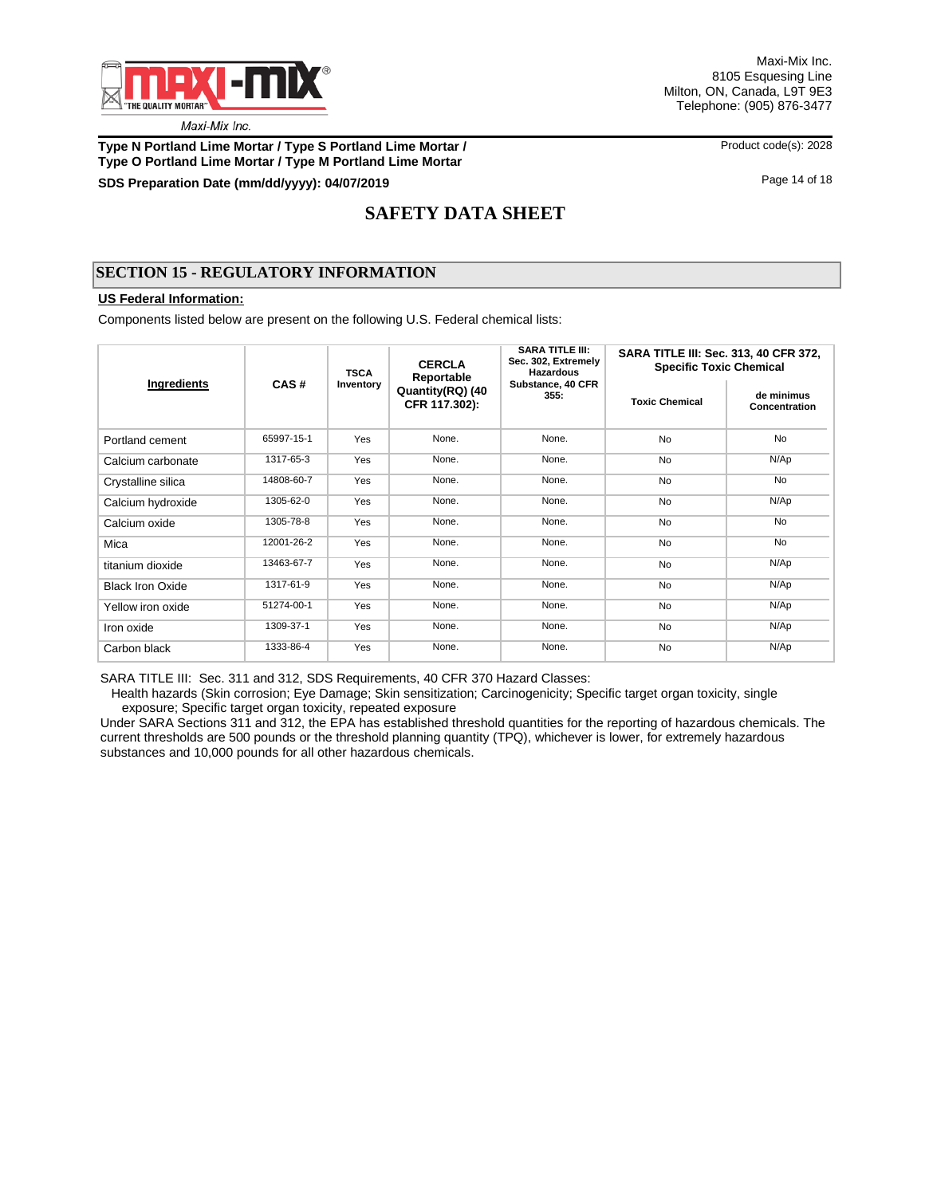

Maxi-Mix Inc. 8105 Esquesing Line Milton, ON, Canada, L9T 9E3 Telephone: (905) 876-3477

**Type N Portland Lime Mortar / Type S Portland Lime Mortar / Product code(s): 2028 Type O Portland Lime Mortar / Type M Portland Lime Mortar**

## **SDS Preparation Date (mm/dd/yyyy): 04/07/2019 04/07/2019 14 04/07/2019 Page 14 of 18 Page 14 of 18**

# **SAFETY DATA SHEET**

## **SECTION 15 - REGULATORY INFORMATION**

### **US Federal Information:**

Components listed below are present on the following U.S. Federal chemical lists:

|                         | CAS#       | <b>TSCA</b> | <b>CERCLA</b><br>Reportable       | <b>SARA TITLE III:</b><br>Sec. 302, Extremely<br>Hazardous | <b>SARA TITLE III: Sec. 313, 40 CFR 372,</b><br><b>Specific Toxic Chemical</b> |                             |  |  |
|-------------------------|------------|-------------|-----------------------------------|------------------------------------------------------------|--------------------------------------------------------------------------------|-----------------------------|--|--|
| Ingredients             |            | Inventory   | Quantity(RQ) (40<br>CFR 117.302): | Substance, 40 CFR<br>355:                                  | <b>Toxic Chemical</b>                                                          | de minimus<br>Concentration |  |  |
| Portland cement         | 65997-15-1 | Yes         | None.                             | None.                                                      | <b>No</b>                                                                      | <b>No</b>                   |  |  |
| Calcium carbonate       | 1317-65-3  | Yes         | None.                             | None.                                                      | <b>No</b>                                                                      | N/Ap                        |  |  |
| Crystalline silica      | 14808-60-7 | Yes         | None.                             | None.                                                      | <b>No</b>                                                                      | <b>No</b>                   |  |  |
| Calcium hydroxide       | 1305-62-0  | Yes         | None.                             | None.                                                      | <b>No</b>                                                                      | N/Ap                        |  |  |
| Calcium oxide           | 1305-78-8  | Yes         | None.                             | None.                                                      | <b>No</b>                                                                      | <b>No</b>                   |  |  |
| Mica                    | 12001-26-2 | Yes         | None.                             | None.                                                      | <b>No</b>                                                                      | <b>No</b>                   |  |  |
| titanium dioxide        | 13463-67-7 | Yes         | None.                             | None.                                                      | <b>No</b>                                                                      | N/Ap                        |  |  |
| <b>Black Iron Oxide</b> | 1317-61-9  | Yes         | None.                             | None.                                                      | <b>No</b>                                                                      | N/Ap                        |  |  |
| Yellow iron oxide       | 51274-00-1 | Yes         | None.                             | None.                                                      | <b>No</b>                                                                      | N/Ap                        |  |  |
| Iron oxide              | 1309-37-1  | Yes         | None.                             | None.                                                      | <b>No</b>                                                                      | N/Ap                        |  |  |
| Carbon black            | 1333-86-4  | Yes         | None.                             | None.                                                      | <b>No</b>                                                                      | N/Ap                        |  |  |

SARA TITLE III: Sec. 311 and 312, SDS Requirements, 40 CFR 370 Hazard Classes:

 Health hazards (Skin corrosion; Eye Damage; Skin sensitization; Carcinogenicity; Specific target organ toxicity, single exposure; Specific target organ toxicity, repeated exposure

Under SARA Sections 311 and 312, the EPA has established threshold quantities for the reporting of hazardous chemicals. The current thresholds are 500 pounds or the threshold planning quantity (TPQ), whichever is lower, for extremely hazardous substances and 10,000 pounds for all other hazardous chemicals.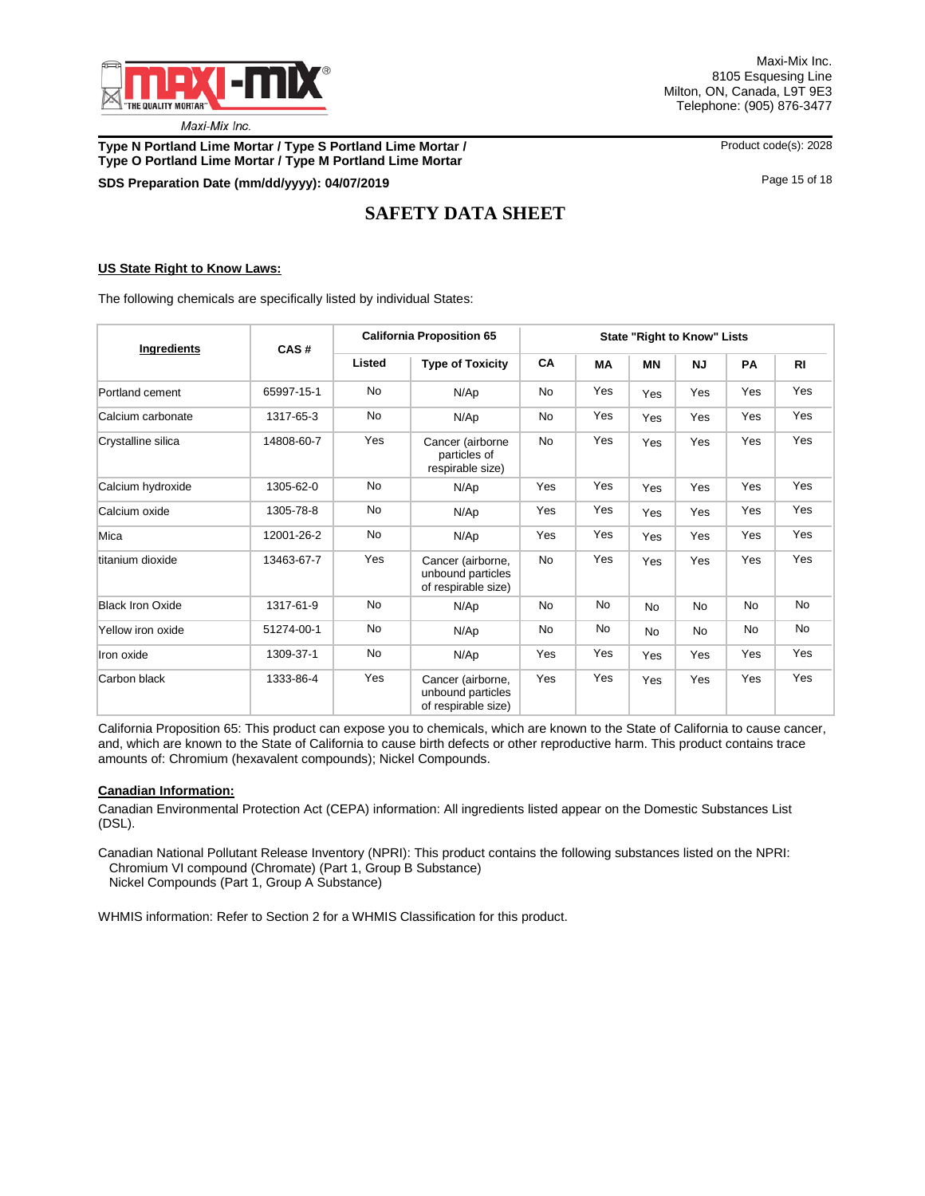

Maxi-Mix Inc. 8105 Esquesing Line Milton, ON, Canada, L9T 9E3 Telephone: (905) 876-3477

**Type N Portland Lime Mortar / Type S Portland Lime Mortar / Product code(s): 2028 Type O Portland Lime Mortar / Type M Portland Lime Mortar**

**SDS Preparation Date (mm/dd/yyyy): 04/07/2019 04/07/2019 15 06 18 04/07/2019 Page 15 of 18 Page 15 of 18** 

# **SAFETY DATA SHEET**

### **US State Right to Know Laws:**

The following chemicals are specifically listed by individual States:

| Ingredients             | CAS#       | <b>California Proposition 65</b> | State "Right to Know" Lists                                   |           |           |           |           |           |                |
|-------------------------|------------|----------------------------------|---------------------------------------------------------------|-----------|-----------|-----------|-----------|-----------|----------------|
|                         |            | Listed                           | <b>Type of Toxicity</b>                                       | CA        | <b>MA</b> | <b>MN</b> | <b>NJ</b> | PA        | R <sub>l</sub> |
| Portland cement         | 65997-15-1 | <b>No</b>                        | N/Ap                                                          | No        | Yes       | Yes       | Yes       | Yes       | Yes            |
| Calcium carbonate       | 1317-65-3  | No                               | N/Ap                                                          | No        | Yes       | Yes       | Yes       | Yes       | Yes            |
| Crystalline silica      | 14808-60-7 | Yes                              | Cancer (airborne<br>particles of<br>respirable size)          | <b>No</b> | Yes       | Yes       | Yes       | Yes       | Yes            |
| Calcium hydroxide       | 1305-62-0  | No                               | N/Ap                                                          | Yes       | Yes       | Yes       | Yes       | Yes       | Yes            |
| Calcium oxide           | 1305-78-8  | No                               | N/Ap                                                          | Yes       | Yes       | Yes       | Yes       | Yes       | Yes            |
| Mica                    | 12001-26-2 | No                               | N/Ap                                                          | Yes       | Yes       | Yes       | Yes       | Yes       | Yes            |
| titanium dioxide        | 13463-67-7 | Yes                              | Cancer (airborne,<br>unbound particles<br>of respirable size) | <b>No</b> | Yes       | Yes       | Yes       | Yes       | Yes            |
| <b>Black Iron Oxide</b> | 1317-61-9  | No                               | N/Ap                                                          | No        | No        | <b>No</b> | <b>No</b> | <b>No</b> | No             |
| Yellow iron oxide       | 51274-00-1 | <b>No</b>                        | N/Ap                                                          | <b>No</b> | No        | <b>No</b> | <b>No</b> | No        | No             |
| Iron oxide              | 1309-37-1  | No                               | N/Ap                                                          | Yes       | Yes       | Yes       | Yes       | Yes       | Yes            |
| Carbon black            | 1333-86-4  | Yes                              | Cancer (airborne,<br>unbound particles<br>of respirable size) | Yes       | Yes       | Yes       | Yes       | Yes       | Yes            |

California Proposition 65: This product can expose you to chemicals, which are known to the State of California to cause cancer, and, which are known to the State of California to cause birth defects or other reproductive harm. This product contains trace amounts of: Chromium (hexavalent compounds); Nickel Compounds.

#### **Canadian Information:**

Canadian Environmental Protection Act (CEPA) information: All ingredients listed appear on the Domestic Substances List (DSL).

Canadian National Pollutant Release Inventory (NPRI): This product contains the following substances listed on the NPRI: Chromium VI compound (Chromate) (Part 1, Group B Substance)

Nickel Compounds (Part 1, Group A Substance)

WHMIS information: Refer to Section 2 for a WHMIS Classification for this product.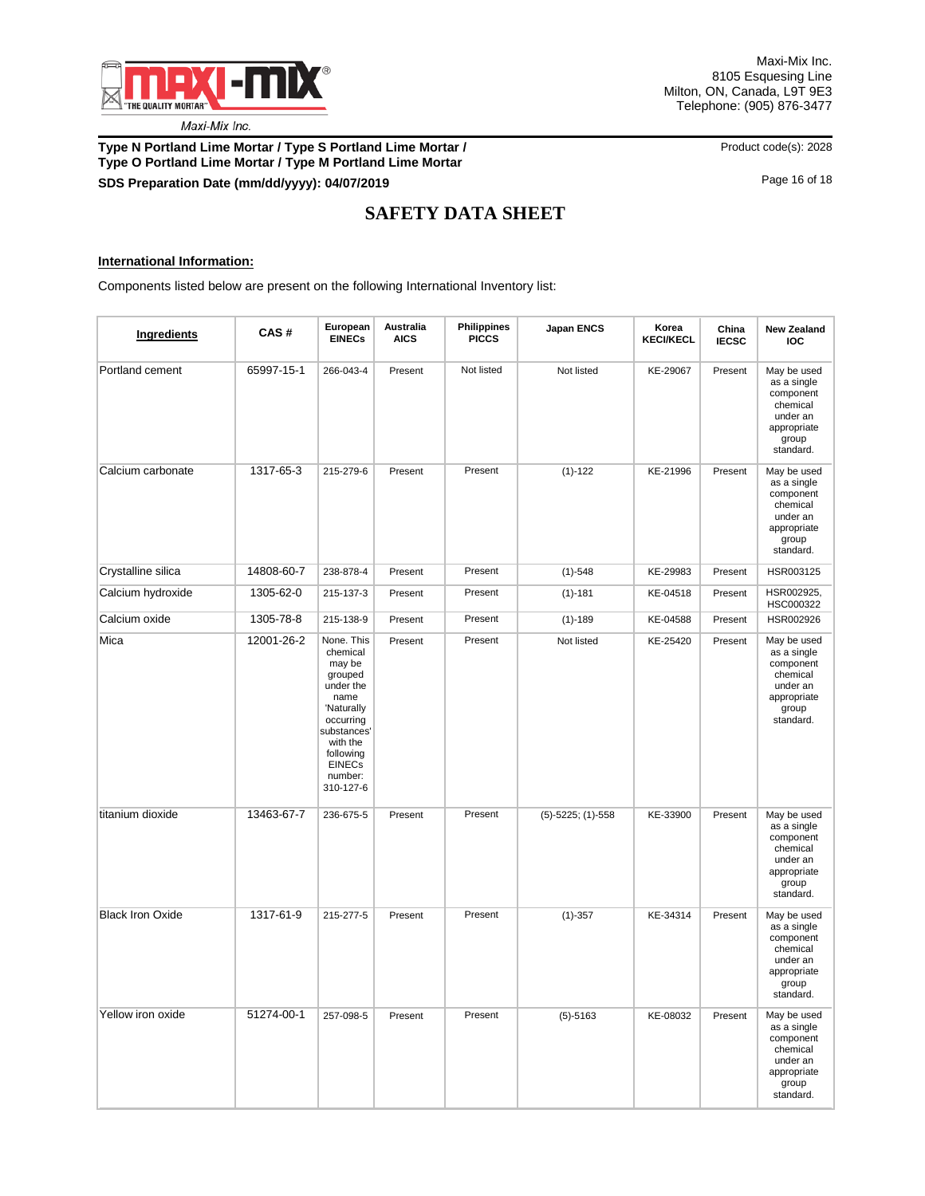

## **Type N Portland Lime Mortar / Type S Portland Lime Mortar / <br>Product code(s): 2028 Type O Portland Lime Mortar / Type M Portland Lime Mortar SDS Preparation Date (mm/dd/yyyy): 04/07/2019 Discription of the contract of the contract of the contract of the contract of the contract of the contract of the contract of the contract of the contract of the contract o**

# **SAFETY DATA SHEET**

### **International Information:**

Components listed below are present on the following International Inventory list:

| Ingredients             | CAS#       | European<br><b>EINECs</b>                                                                                                                                                    | Australia<br><b>AICS</b> | <b>Philippines</b><br><b>PICCS</b> | Japan ENCS             | Korea<br><b>KECI/KECL</b> | China<br><b>IECSC</b> | <b>New Zealand</b><br><b>IOC</b>                                                                     |
|-------------------------|------------|------------------------------------------------------------------------------------------------------------------------------------------------------------------------------|--------------------------|------------------------------------|------------------------|---------------------------|-----------------------|------------------------------------------------------------------------------------------------------|
| Portland cement         | 65997-15-1 | 266-043-4                                                                                                                                                                    | Present                  | Not listed                         | Not listed             | KE-29067                  | Present               | May be used<br>as a single<br>component<br>chemical<br>under an<br>appropriate<br>group<br>standard. |
| Calcium carbonate       | 1317-65-3  | 215-279-6                                                                                                                                                                    | Present                  | Present                            | $(1)-122$              | KE-21996                  | Present               | May be used<br>as a single<br>component<br>chemical<br>under an<br>appropriate<br>group<br>standard. |
| Crystalline silica      | 14808-60-7 | 238-878-4                                                                                                                                                                    | Present                  | Present                            | $(1)-548$              | KE-29983                  | Present               | HSR003125                                                                                            |
| Calcium hydroxide       | 1305-62-0  | 215-137-3                                                                                                                                                                    | Present                  | Present                            | $(1) - 181$            | KE-04518                  | Present               | HSR002925,<br>HSC000322                                                                              |
| Calcium oxide           | 1305-78-8  | 215-138-9                                                                                                                                                                    | Present                  | Present                            | $(1) - 189$            | KE-04588                  | Present               | HSR002926                                                                                            |
| Mica                    | 12001-26-2 | None. This<br>chemical<br>may be<br>grouped<br>under the<br>name<br>'Naturally<br>occurring<br>substances'<br>with the<br>following<br><b>EINECs</b><br>number:<br>310-127-6 | Present                  | Present                            | Not listed             | KE-25420                  | Present               | May be used<br>as a single<br>component<br>chemical<br>under an<br>appropriate<br>group<br>standard. |
| titanium dioxide        | 13463-67-7 | 236-675-5                                                                                                                                                                    | Present                  | Present                            | $(5)-5225$ ; $(1)-558$ | KE-33900                  | Present               | May be used<br>as a single<br>component<br>chemical<br>under an<br>appropriate<br>group<br>standard. |
| <b>Black Iron Oxide</b> | 1317-61-9  | 215-277-5                                                                                                                                                                    | Present                  | Present                            | $(1)-357$              | KE-34314                  | Present               | May be used<br>as a single<br>component<br>chemical<br>under an<br>appropriate<br>group<br>standard. |
| Yellow iron oxide       | 51274-00-1 | 257-098-5                                                                                                                                                                    | Present                  | Present                            | $(5)-5163$             | KE-08032                  | Present               | May be used<br>as a single<br>component<br>chemical<br>under an<br>appropriate<br>group<br>standard. |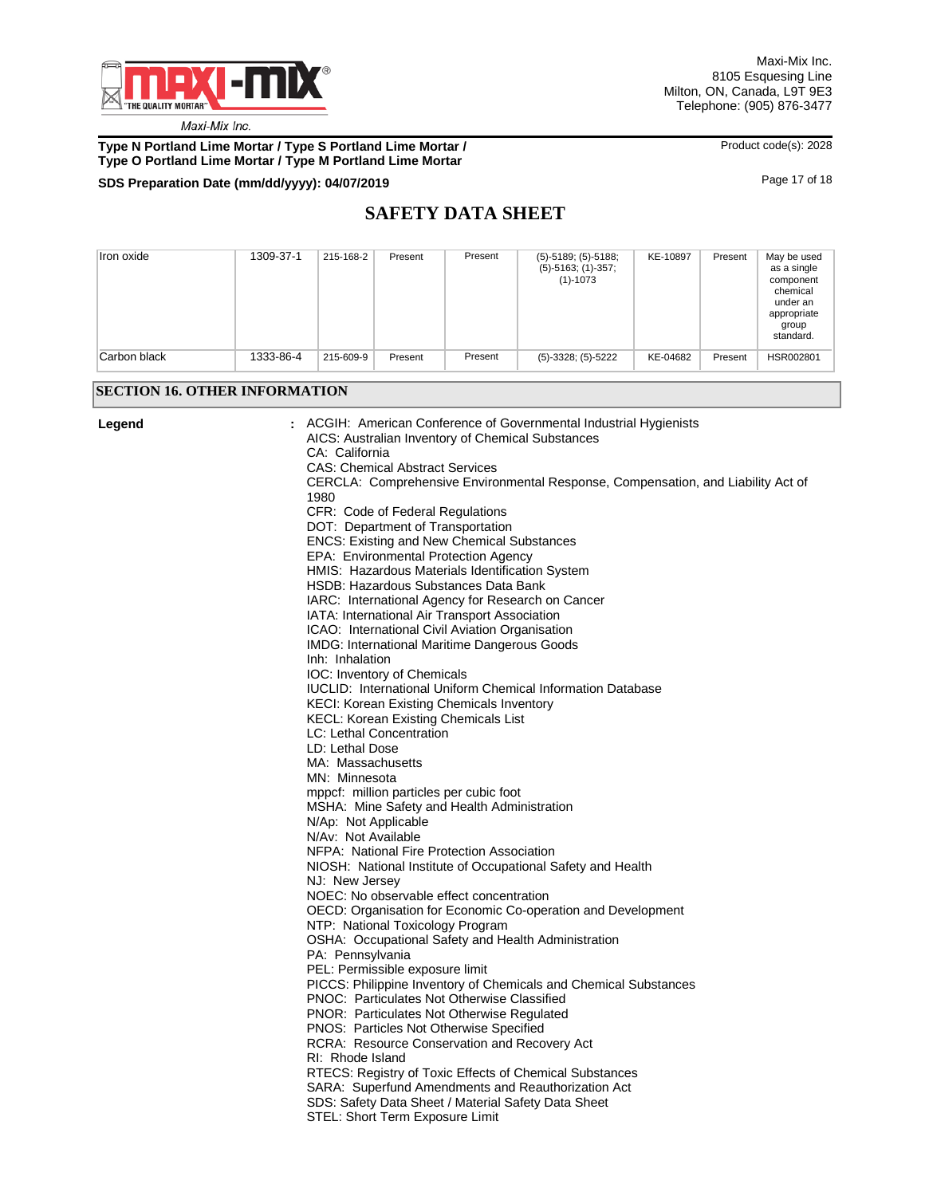

**Type N Portland Lime Mortar / Type S Portland Lime Mortar / We are a mortar and Archael Code(s): 2028 Type O Portland Lime Mortar / Type M Portland Lime Mortar**

# **SDS Preparation Date (mm/dd/yyyy): 04/07/2019 04/07/2019 18 <b>04/07/2019 18 04/07/2019 18 04/07/2019 18**

# **SAFETY DATA SHEET**

| Iron oxide   | 1309-37-1 | 215-168-2 | Present | Present | $(5) - 5189$ ; $(5) - 5188$ ;<br>$(5)-5163$ ; $(1)-357$ ;<br>$(1) - 1073$ | KE-10897 | Present | May be used<br>as a single<br>component<br>chemical<br>under an<br>appropriate<br>group<br>standard. |
|--------------|-----------|-----------|---------|---------|---------------------------------------------------------------------------|----------|---------|------------------------------------------------------------------------------------------------------|
| Carbon black | 1333-86-4 | 215-609-9 | Present | Present | $(5)-3328$ ; $(5)-5222$                                                   | KE-04682 | Present | HSR002801                                                                                            |

## **SECTION 16. OTHER INFORMATION**

| Legend | ACGIH: American Conference of Governmental Industrial Hygienists<br>AICS: Australian Inventory of Chemical Substances<br>CA: California |
|--------|-----------------------------------------------------------------------------------------------------------------------------------------|
|        | <b>CAS: Chemical Abstract Services</b>                                                                                                  |
|        | CERCLA: Comprehensive Environmental Response, Compensation, and Liability Act of                                                        |
|        | 1980                                                                                                                                    |
|        | CFR: Code of Federal Regulations                                                                                                        |
|        | DOT: Department of Transportation                                                                                                       |
|        | <b>ENCS: Existing and New Chemical Substances</b>                                                                                       |
|        | EPA: Environmental Protection Agency                                                                                                    |
|        | HMIS: Hazardous Materials Identification System                                                                                         |
|        | <b>HSDB: Hazardous Substances Data Bank</b>                                                                                             |
|        | IARC: International Agency for Research on Cancer                                                                                       |
|        | IATA: International Air Transport Association                                                                                           |
|        | ICAO: International Civil Aviation Organisation                                                                                         |
|        | IMDG: International Maritime Dangerous Goods                                                                                            |
|        | Inh: Inhalation                                                                                                                         |
|        | IOC: Inventory of Chemicals                                                                                                             |
|        | IUCLID: International Uniform Chemical Information Database                                                                             |
|        | KECI: Korean Existing Chemicals Inventory                                                                                               |
|        | <b>KECL: Korean Existing Chemicals List</b>                                                                                             |
|        | LC: Lethal Concentration                                                                                                                |
|        | LD: Lethal Dose                                                                                                                         |
|        | MA: Massachusetts                                                                                                                       |
|        | MN: Minnesota                                                                                                                           |
|        | mppcf: million particles per cubic foot                                                                                                 |
|        | MSHA: Mine Safety and Health Administration                                                                                             |
|        | N/Ap: Not Applicable                                                                                                                    |
|        | N/Av: Not Available                                                                                                                     |
|        | NFPA: National Fire Protection Association                                                                                              |
|        | NIOSH: National Institute of Occupational Safety and Health                                                                             |
|        | NJ: New Jersey                                                                                                                          |
|        | NOEC: No observable effect concentration                                                                                                |
|        | OECD: Organisation for Economic Co-operation and Development                                                                            |
|        | NTP: National Toxicology Program                                                                                                        |
|        | OSHA: Occupational Safety and Health Administration                                                                                     |
|        | PA: Pennsylvania                                                                                                                        |
|        | PEL: Permissible exposure limit                                                                                                         |
|        | PICCS: Philippine Inventory of Chemicals and Chemical Substances                                                                        |
|        | <b>PNOC: Particulates Not Otherwise Classified</b>                                                                                      |
|        | PNOR: Particulates Not Otherwise Regulated                                                                                              |
|        | PNOS: Particles Not Otherwise Specified                                                                                                 |
|        | RCRA: Resource Conservation and Recovery Act                                                                                            |
|        | RI: Rhode Island                                                                                                                        |
|        | RTECS: Registry of Toxic Effects of Chemical Substances                                                                                 |
|        | SARA: Superfund Amendments and Reauthorization Act                                                                                      |
|        | SDS: Safety Data Sheet / Material Safety Data Sheet                                                                                     |
|        | STEL: Short Term Exposure Limit                                                                                                         |
|        |                                                                                                                                         |